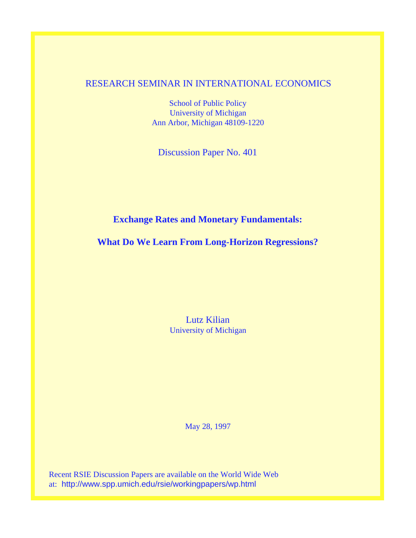## RESEARCH SEMINAR IN INTERNATIONAL ECONOMICS

School of Public Policy University of Michigan Ann Arbor, Michigan 48109-1220

Discussion Paper No. 401

## **Exchange Rates and Monetary Fundamentals:**

**What Do We Learn From Long-Horizon Regressions?**

Lutz Kilian University of Michigan

May 28, 1997

Recent RSIE Discussion Papers are available on the World Wide Web at: http://www.spp.umich.edu/rsie/workingpapers/wp.html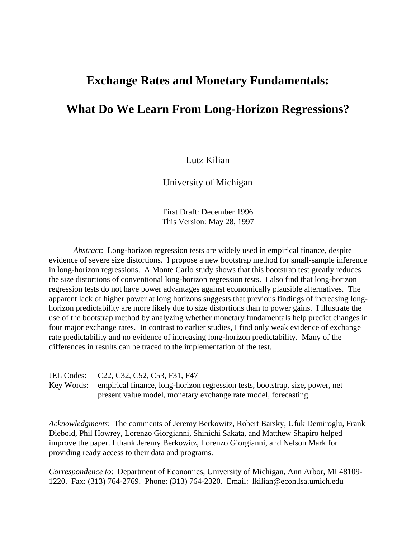# **Exchange Rates and Monetary Fundamentals:**

# **What Do We Learn From Long-Horizon Regressions?**

### Lutz Kilian

University of Michigan

First Draft: December 1996 This Version: May 28, 1997

*Abstract*: Long-horizon regression tests are widely used in empirical finance, despite evidence of severe size distortions. I propose a new bootstrap method for small-sample inference in long-horizon regressions. A Monte Carlo study shows that this bootstrap test greatly reduces the size distortions of conventional long-horizon regression tests. I also find that long-horizon regression tests do not have power advantages against economically plausible alternatives. The apparent lack of higher power at long horizons suggests that previous findings of increasing longhorizon predictability are more likely due to size distortions than to power gains. I illustrate the use of the bootstrap method by analyzing whether monetary fundamentals help predict changes in four major exchange rates. In contrast to earlier studies, I find only weak evidence of exchange rate predictability and no evidence of increasing long-horizon predictability. Many of the differences in results can be traced to the implementation of the test.

| JEL Codes: C22, C32, C52, C53, F31, F47                                                  |
|------------------------------------------------------------------------------------------|
| Key Words: empirical finance, long-horizon regression tests, bootstrap, size, power, net |
| present value model, monetary exchange rate model, forecasting.                          |

*Acknowledgments*: The comments of Jeremy Berkowitz, Robert Barsky, Ufuk Demiroglu, Frank Diebold, Phil Howrey, Lorenzo Giorgianni, Shinichi Sakata, and Matthew Shapiro helped improve the paper. I thank Jeremy Berkowitz, Lorenzo Giorgianni, and Nelson Mark for providing ready access to their data and programs.

*Correspondence to*: Department of Economics, University of Michigan, Ann Arbor, MI 48109- 1220. Fax: (313) 764-2769. Phone: (313) 764-2320. Email: lkilian@econ.lsa.umich.edu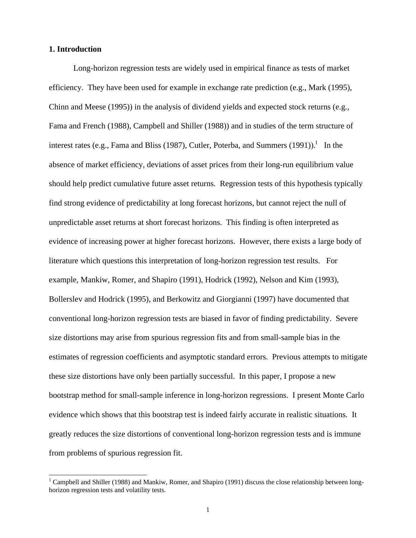#### **1. Introduction**

 $\overline{a}$ 

Long-horizon regression tests are widely used in empirical finance as tests of market efficiency. They have been used for example in exchange rate prediction (e.g., Mark (1995), Chinn and Meese (1995)) in the analysis of dividend yields and expected stock returns (e.g., Fama and French (1988), Campbell and Shiller (1988)) and in studies of the term structure of interest rates (e.g., Fama and Bliss (1987), Cutler, Poterba, and Summers (1991)).<sup>1</sup> In the absence of market efficiency, deviations of asset prices from their long-run equilibrium value should help predict cumulative future asset returns. Regression tests of this hypothesis typically find strong evidence of predictability at long forecast horizons, but cannot reject the null of unpredictable asset returns at short forecast horizons. This finding is often interpreted as evidence of increasing power at higher forecast horizons. However, there exists a large body of literature which questions this interpretation of long-horizon regression test results. For example, Mankiw, Romer, and Shapiro (1991), Hodrick (1992), Nelson and Kim (1993), Bollerslev and Hodrick (1995), and Berkowitz and Giorgianni (1997) have documented that conventional long-horizon regression tests are biased in favor of finding predictability. Severe size distortions may arise from spurious regression fits and from small-sample bias in the estimates of regression coefficients and asymptotic standard errors. Previous attempts to mitigate these size distortions have only been partially successful. In this paper, I propose a new bootstrap method for small-sample inference in long-horizon regressions. I present Monte Carlo evidence which shows that this bootstrap test is indeed fairly accurate in realistic situations. It greatly reduces the size distortions of conventional long-horizon regression tests and is immune from problems of spurious regression fit.

<sup>&</sup>lt;sup>1</sup> Campbell and Shiller (1988) and Mankiw, Romer, and Shapiro (1991) discuss the close relationship between longhorizon regression tests and volatility tests.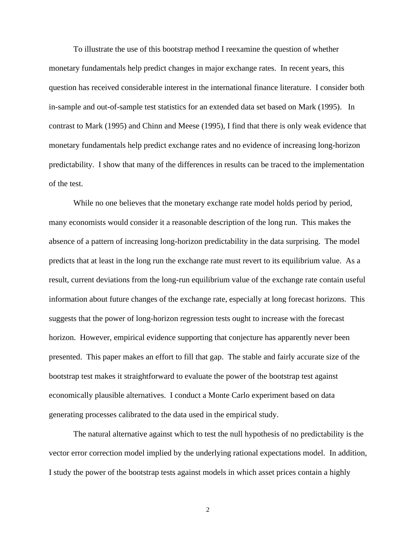To illustrate the use of this bootstrap method I reexamine the question of whether monetary fundamentals help predict changes in major exchange rates. In recent years, this question has received considerable interest in the international finance literature. I consider both in-sample and out-of-sample test statistics for an extended data set based on Mark (1995). In contrast to Mark (1995) and Chinn and Meese (1995), I find that there is only weak evidence that monetary fundamentals help predict exchange rates and no evidence of increasing long-horizon predictability. I show that many of the differences in results can be traced to the implementation of the test.

While no one believes that the monetary exchange rate model holds period by period, many economists would consider it a reasonable description of the long run. This makes the absence of a pattern of increasing long-horizon predictability in the data surprising. The model predicts that at least in the long run the exchange rate must revert to its equilibrium value. As a result, current deviations from the long-run equilibrium value of the exchange rate contain useful information about future changes of the exchange rate, especially at long forecast horizons. This suggests that the power of long-horizon regression tests ought to increase with the forecast horizon. However, empirical evidence supporting that conjecture has apparently never been presented. This paper makes an effort to fill that gap. The stable and fairly accurate size of the bootstrap test makes it straightforward to evaluate the power of the bootstrap test against economically plausible alternatives. I conduct a Monte Carlo experiment based on data generating processes calibrated to the data used in the empirical study.

The natural alternative against which to test the null hypothesis of no predictability is the vector error correction model implied by the underlying rational expectations model. In addition, I study the power of the bootstrap tests against models in which asset prices contain a highly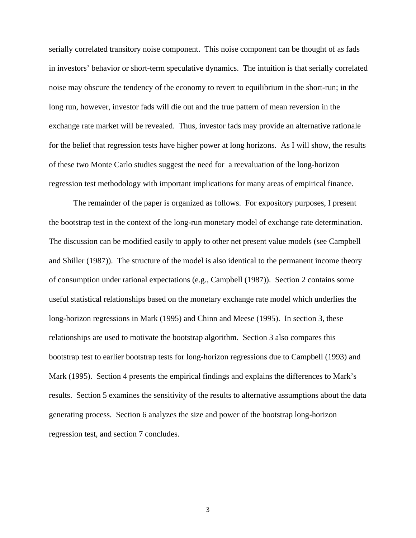serially correlated transitory noise component. This noise component can be thought of as fads in investors' behavior or short-term speculative dynamics. The intuition is that serially correlated noise may obscure the tendency of the economy to revert to equilibrium in the short-run; in the long run, however, investor fads will die out and the true pattern of mean reversion in the exchange rate market will be revealed. Thus, investor fads may provide an alternative rationale for the belief that regression tests have higher power at long horizons. As I will show, the results of these two Monte Carlo studies suggest the need for a reevaluation of the long-horizon regression test methodology with important implications for many areas of empirical finance.

The remainder of the paper is organized as follows. For expository purposes, I present the bootstrap test in the context of the long-run monetary model of exchange rate determination. The discussion can be modified easily to apply to other net present value models (see Campbell and Shiller (1987)). The structure of the model is also identical to the permanent income theory of consumption under rational expectations (e.g., Campbell (1987)). Section 2 contains some useful statistical relationships based on the monetary exchange rate model which underlies the long-horizon regressions in Mark (1995) and Chinn and Meese (1995). In section 3, these relationships are used to motivate the bootstrap algorithm. Section 3 also compares this bootstrap test to earlier bootstrap tests for long-horizon regressions due to Campbell (1993) and Mark (1995). Section 4 presents the empirical findings and explains the differences to Mark's results. Section 5 examines the sensitivity of the results to alternative assumptions about the data generating process. Section 6 analyzes the size and power of the bootstrap long-horizon regression test, and section 7 concludes.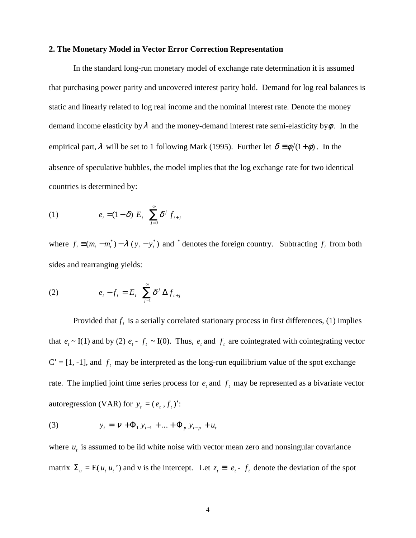#### **2. The Monetary Model in Vector Error Correction Representation**

In the standard long-run monetary model of exchange rate determination it is assumed that purchasing power parity and uncovered interest parity hold. Demand for log real balances is static and linearly related to log real income and the nominal interest rate. Denote the money demand income elasticity by  $\lambda$  and the money-demand interest rate semi-elasticity by  $\phi$ . In the empirical part,  $\lambda$  will be set to 1 following Mark (1995). Further let  $\delta = \phi/(1+\phi)$ . In the absence of speculative bubbles, the model implies that the log exchange rate for two identical countries is determined by:

(1) 
$$
e_{t} = (1 - \delta) E_{t} \left( \sum_{j=0}^{\infty} \delta^{j} f_{t+j} \right)
$$

where  $f_t \equiv (m_t - m_t^*) - \lambda (y_t - y_t^*)$  and  $^*$  denotes the foreign country. Subtracting  $f_t$  from both sides and rearranging yields:

(2) 
$$
e_t - f_t = E_t \left( \sum_{j=1}^{\infty} \delta^j \Delta f_{t+j} \right)
$$

Provided that  $f_t$  is a serially correlated stationary process in first differences, (1) implies that  $e_t \sim I(1)$  and by (2)  $e_t - f_t \sim I(0)$ . Thus,  $e_t$  and  $f_t$  are cointegrated with cointegrating vector  $C' = [1, -1]$ , and  $f_t$  may be interpreted as the long-run equilibrium value of the spot exchange rate. The implied joint time series process for  $e_t$  and  $f_t$  may be represented as a bivariate vector autoregression (VAR) for  $y_t = (e_t, f_t)'$ :

(3) 
$$
y_t = V + \Phi_1 y_{t-1} + ... + \Phi_p y_{t-p} + u_t
$$

where  $u_t$  is assumed to be iid white noise with vector mean zero and nonsingular covariance matrix  $\Sigma_u = E(u_t u_t)$  and v is the intercept. Let  $z_t = e_t - f_t$  denote the deviation of the spot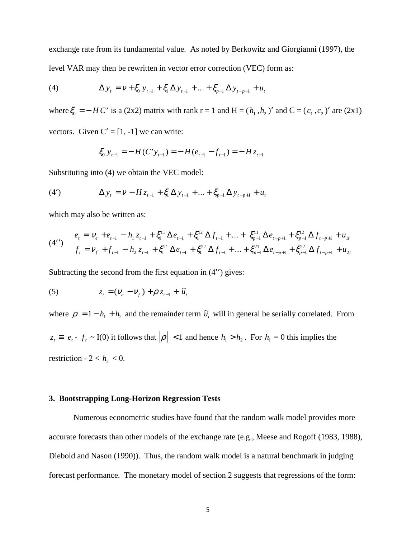exchange rate from its fundamental value. As noted by Berkowitz and Giorgianni (1997), the level VAR may then be rewritten in vector error correction (VEC) form as:

(4) 
$$
\Delta y_t = v + \xi_0 y_{t-1} + \xi_1 \Delta y_{t-1} + ... + \xi_{p-1} \Delta y_{t-p+1} + u_t
$$

where  $\xi_0 = - H C'$  is a (2x2) matrix with rank r = 1 and H =  $(h_1, h_2)$  and C =  $(c_1, c_2)$  are (2x1)

vectors. Given  $C' = [1, -1]$  we can write:

$$
\xi_0 \, y_{t-1} = -H(C' y_{t-1}) = -H(e_{t-1} - f_{t-1}) = -H z_{t-1}
$$

Substituting into (4) we obtain the VEC model:

(4') 
$$
\Delta y_{t} = V - H z_{t-1} + \xi_{1} \Delta y_{t-1} + ... + \xi_{p-1} \Delta y_{t-p+1} + u_{t}
$$

which may also be written as:

(4'') 
$$
e_{t} = V_{e} + e_{t-1} - h_{1} z_{t-1} + \xi_{1}^{11} \Delta e_{t-1} + \xi_{1}^{12} \Delta f_{t-1} + ... + \xi_{p-1}^{11} \Delta e_{t-p+1} + \xi_{p-1}^{12} \Delta f_{t-p+1} + u_{1t}
$$

$$
f_{t} = V_{f} + f_{t-1} - h_{2} z_{t-1} + \xi_{1}^{21} \Delta e_{t-1} + \xi_{1}^{22} \Delta f_{t-1} + ... + \xi_{p-1}^{21} \Delta e_{t-p+1} + \xi_{p-1}^{22} \Delta f_{t-p+1} + u_{2t}
$$

Subtracting the second from the first equation in  $(4'')$  gives:

(5) 
$$
z_{t} = (V_{e} - V_{f}) + \rho z_{t-1} + \tilde{u}_{t}
$$

where  $\rho = 1 - h_1 + h_2$  and the remainder term  $\tilde{u}_t$  will in general be serially correlated. From  $z_t \equiv e_t - f_t \sim I(0)$  it follows that  $|\rho| < 1$  and hence  $h_1 > h_2$ . For  $h_1 = 0$  this implies the restriction -  $2 < h_2 < 0$ .

#### **3. Bootstrapping Long-Horizon Regression Tests**

Numerous econometric studies have found that the random walk model provides more accurate forecasts than other models of the exchange rate (e.g., Meese and Rogoff (1983, 1988), Diebold and Nason (1990)). Thus, the random walk model is a natural benchmark in judging forecast performance. The monetary model of section 2 suggests that regressions of the form: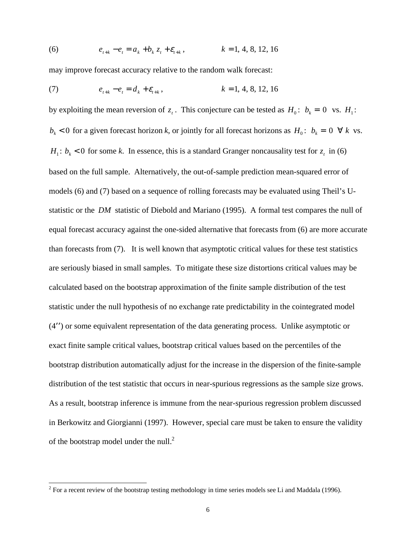(6) 
$$
e_{t+k} - e_t = a_k + b_k z_t + \varepsilon_{t+k}, \qquad k = 1, 4, 8, 12, 16
$$

may improve forecast accuracy relative to the random walk forecast:

(7) 
$$
e_{t+k} - e_t = d_k + \varepsilon_{t+k}, \qquad k = 1, 4, 8, 12, 16
$$

by exploiting the mean reversion of  $z_t$ . This conjecture can be tested as  $H_0: b_k = 0$  vs.  $H_1$ :  $b_k$  < 0 for a given forecast horizon *k*, or jointly for all forecast horizons as  $H_0$ :  $b_k = 0 \forall k$  vs.  $H_1$ :  $b_k$  < 0 for some *k*. In essence, this is a standard Granger noncausality test for  $z_t$  in (6) based on the full sample. Alternatively, the out-of-sample prediction mean-squared error of models (6) and (7) based on a sequence of rolling forecasts may be evaluated using Theil's Ustatistic or the *DM* statistic of Diebold and Mariano (1995). A formal test compares the null of equal forecast accuracy against the one-sided alternative that forecasts from (6) are more accurate than forecasts from (7). It is well known that asymptotic critical values for these test statistics are seriously biased in small samples. To mitigate these size distortions critical values may be calculated based on the bootstrap approximation of the finite sample distribution of the test statistic under the null hypothesis of no exchange rate predictability in the cointegrated model  $(4'')$  or some equivalent representation of the data generating process. Unlike asymptotic or exact finite sample critical values, bootstrap critical values based on the percentiles of the bootstrap distribution automatically adjust for the increase in the dispersion of the finite-sample distribution of the test statistic that occurs in near-spurious regressions as the sample size grows. As a result, bootstrap inference is immune from the near-spurious regression problem discussed in Berkowitz and Giorgianni (1997). However, special care must be taken to ensure the validity of the bootstrap model under the null.<sup>2</sup>

 $\frac{1}{2}$  For a recent review of the bootstrap testing methodology in time series models see Li and Maddala (1996).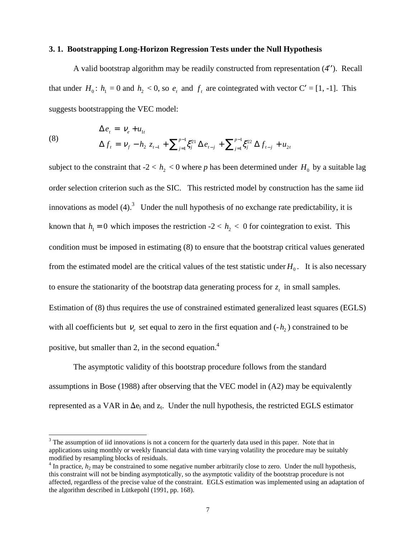#### **3. 1. Bootstrapping Long-Horizon Regression Tests under the Null Hypothesis**

A valid bootstrap algorithm may be readily constructed from representation  $(4'')$ . Recall that under  $H_0$ :  $h_1 = 0$  and  $h_2 < 0$ , so  $e_t$  and  $f_t$  are cointegrated with vector  $C' = [1, -1]$ . This suggests bootstrapping the VEC model:

(8) 
$$
\Delta e_t = V_e + u_{1t} \n\Delta f_t = V_f - h_2 z_{t-1} + \sum_{j=1}^{p-1} \xi_j^{21} \Delta e_{t-j} + \sum_{j=1}^{p-1} \xi_j^{22} \Delta f_{t-j} + u_{2t}
$$

subject to the constraint that  $-2 < h<sub>2</sub> < 0$  where p has been determined under  $H<sub>0</sub>$  by a suitable lag order selection criterion such as the SIC. This restricted model by construction has the same iid innovations as model  $(4)$ .<sup>3</sup> Under the null hypothesis of no exchange rate predictability, it is known that  $h_1 = 0$  which imposes the restriction  $-2 < h_2 < 0$  for cointegration to exist. This condition must be imposed in estimating (8) to ensure that the bootstrap critical values generated from the estimated model are the critical values of the test statistic under  $H_0$ . It is also necessary to ensure the stationarity of the bootstrap data generating process for  $z_t$  in small samples. Estimation of (8) thus requires the use of constrained estimated generalized least squares (EGLS) with all coefficients but  $v_e$  set equal to zero in the first equation and  $(-h_2)$  constrained to be positive, but smaller than 2, in the second equation.4

The asymptotic validity of this bootstrap procedure follows from the standard assumptions in Bose (1988) after observing that the VEC model in (A2) may be equivalently represented as a VAR in  $\Delta e_t$  and  $z_t$ . Under the null hypothesis, the restricted EGLS estimator

 $\overline{a}$ 

 $3$  The assumption of iid innovations is not a concern for the quarterly data used in this paper. Note that in applications using monthly or weekly financial data with time varying volatility the procedure may be suitably modified by resampling blocks of residuals.

 $4$  In practice,  $h_2$  may be constrained to some negative number arbitrarily close to zero. Under the null hypothesis, this constraint will not be binding asymptotically, so the asymptotic validity of the bootstrap procedure is not affected, regardless of the precise value of the constraint. EGLS estimation was implemented using an adaptation of the algorithm described in Lütkepohl (1991, pp. 168).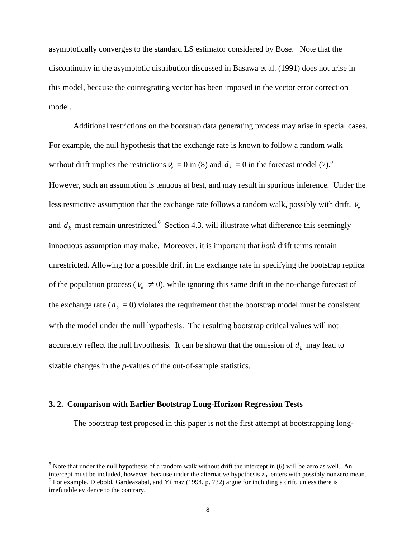asymptotically converges to the standard LS estimator considered by Bose. Note that the discontinuity in the asymptotic distribution discussed in Basawa et al. (1991) does not arise in this model, because the cointegrating vector has been imposed in the vector error correction model.

Additional restrictions on the bootstrap data generating process may arise in special cases. For example, the null hypothesis that the exchange rate is known to follow a random walk without drift implies the restrictions  $v_e = 0$  in (8) and  $d_k = 0$  in the forecast model (7).<sup>5</sup> However, such an assumption is tenuous at best, and may result in spurious inference. Under the less restrictive assumption that the exchange rate follows a random walk, possibly with drift, *ν<sub>e</sub>* and  $d_k$  must remain unrestricted.<sup>6</sup> Section 4.3. will illustrate what difference this seemingly innocuous assumption may make. Moreover, it is important that *both* drift terms remain unrestricted. Allowing for a possible drift in the exchange rate in specifying the bootstrap replica of the population process ( $v_e \neq 0$ ), while ignoring this same drift in the no-change forecast of the exchange rate ( $d_k = 0$ ) violates the requirement that the bootstrap model must be consistent with the model under the null hypothesis. The resulting bootstrap critical values will not accurately reflect the null hypothesis. It can be shown that the omission of  $d_k$  may lead to sizable changes in the *p*-values of the out-of-sample statistics.

#### **3. 2. Comparison with Earlier Bootstrap Long-Horizon Regression Tests**

The bootstrap test proposed in this paper is not the first attempt at bootstrapping long-

 $\overline{a}$ 

 $<sup>5</sup>$  Note that under the null hypothesis of a random walk without drift the intercept in (6) will be zero as well. An</sup> intercept must be included, however, because under the alternative hypothesis  $z_t$  enters with possibly nonzero mean.

 $6$  For example, Diebold, Gardeazabal, and Yilmaz (1994, p. 732) argue for including a drift, unless there is irrefutable evidence to the contrary.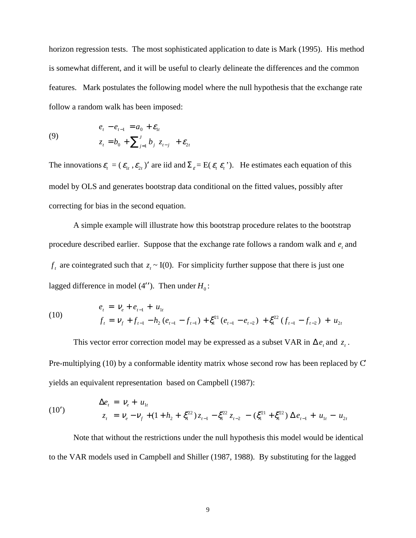horizon regression tests. The most sophisticated application to date is Mark (1995). His method is somewhat different, and it will be useful to clearly delineate the differences and the common features. Mark postulates the following model where the null hypothesis that the exchange rate follow a random walk has been imposed:

(9) 
$$
e_{t} - e_{t-1} = a_{0} + \mathcal{E}_{1t}
$$

$$
z_{t} = b_{0} + \sum_{j=1}^{J} b_{j} z_{t-j} + \mathcal{E}_{2t}
$$

The innovations  $\varepsilon_t = (\varepsilon_{1t}, \varepsilon_{2t})'$  are iid and  $\Sigma_{\varepsilon} = E(\varepsilon_t \varepsilon_t')$ . He estimates each equation of this model by OLS and generates bootstrap data conditional on the fitted values, possibly after correcting for bias in the second equation.

A simple example will illustrate how this bootstrap procedure relates to the bootstrap procedure described earlier. Suppose that the exchange rate follows a random walk and  $e_t$ , and  $f_t$  are cointegrated such that  $z_t \sim I(0)$ . For simplicity further suppose that there is just one lagged difference in model (4"). Then under  $H_0$ :

(10) 
$$
e_{t} = V_{e} + e_{t-1} + u_{1t}
$$

$$
f_{t} = V_{f} + f_{t-1} - h_{2} (e_{t-1} - f_{t-1}) + \xi_{1}^{21} (e_{t-1} - e_{t-2}) + \xi_{1}^{22} (f_{t-1} - f_{t-2}) + u_{2t}
$$

This vector error correction model may be expressed as a subset VAR in  $\Delta e_t$  and  $z_t$ . Pre-multiplying (10) by a conformable identity matrix whose second row has been replaced by  $C$ yields an equivalent representation based on Campbell (1987):

(10') 
$$
\Delta e_t = v_e + u_{1t} z_t = v_e - v_f + (1 + h_2 + \xi_1^{22}) z_{t-1} - \xi_1^{22} z_{t-2} - (\xi_1^{21} + \xi_1^{22}) \Delta e_{t-1} + u_{1t} - u_{2t}
$$

Note that without the restrictions under the null hypothesis this model would be identical to the VAR models used in Campbell and Shiller (1987, 1988). By substituting for the lagged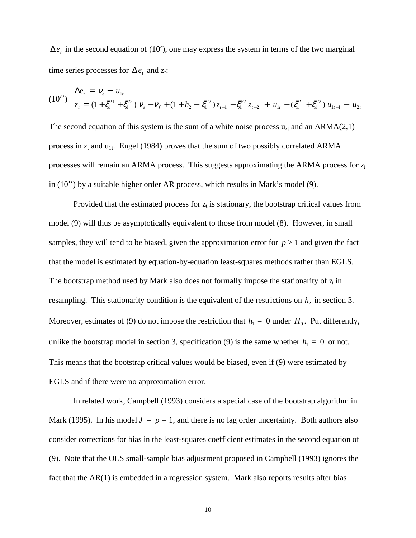$\Delta e_t$  in the second equation of (10'), one may express the system in terms of the two marginal time series processes for  $\Delta e_t$  and z<sub>t</sub>:

$$
(10'') \quad \Delta e_t = v_e + u_{1t}
$$
\n
$$
z_t = (1 + \xi_1^{21} + \xi_1^{22}) v_e - v_f + (1 + h_2 + \xi_1^{22}) z_{t-1} - \xi_1^{22} z_{t-2} + u_{1t} - (\xi_1^{21} + \xi_1^{22}) u_{1t-1} - u_{2t}
$$

The second equation of this system is the sum of a white noise process  $u_{2t}$  and an ARMA(2,1) process in  $z_t$  and  $u_{1t}$ . Engel (1984) proves that the sum of two possibly correlated ARMA processes will remain an ARMA process. This suggests approximating the ARMA process for  $z_t$ in  $(10'')$  by a suitable higher order AR process, which results in Mark's model (9).

Provided that the estimated process for  $z_t$  is stationary, the bootstrap critical values from model (9) will thus be asymptotically equivalent to those from model (8). However, in small samples, they will tend to be biased, given the approximation error for  $p > 1$  and given the fact that the model is estimated by equation-by-equation least-squares methods rather than EGLS. The bootstrap method used by Mark also does not formally impose the stationarity of  $z<sub>i</sub>$  in resampling. This stationarity condition is the equivalent of the restrictions on  $h_2$  in section 3. Moreover, estimates of (9) do not impose the restriction that  $h_1 = 0$  under  $H_0$ . Put differently, unlike the bootstrap model in section 3, specification (9) is the same whether  $h_1 = 0$  or not. This means that the bootstrap critical values would be biased, even if (9) were estimated by EGLS and if there were no approximation error.

In related work, Campbell (1993) considers a special case of the bootstrap algorithm in Mark (1995). In his model  $J = p = 1$ , and there is no lag order uncertainty. Both authors also consider corrections for bias in the least-squares coefficient estimates in the second equation of (9). Note that the OLS small-sample bias adjustment proposed in Campbell (1993) ignores the fact that the AR(1) is embedded in a regression system. Mark also reports results after bias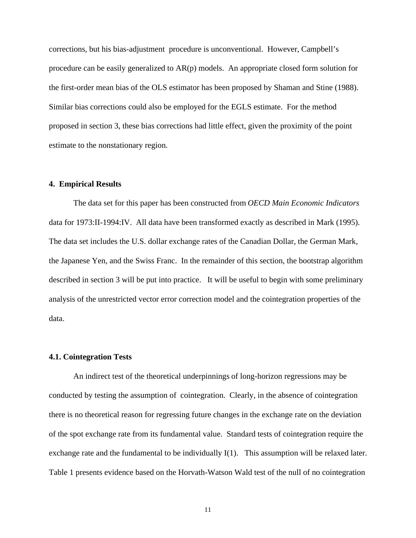corrections, but his bias-adjustment procedure is unconventional. However, Campbell's procedure can be easily generalized to AR(p) models. An appropriate closed form solution for the first-order mean bias of the OLS estimator has been proposed by Shaman and Stine (1988). Similar bias corrections could also be employed for the EGLS estimate. For the method proposed in section 3, these bias corrections had little effect, given the proximity of the point estimate to the nonstationary region.

#### **4. Empirical Results**

The data set for this paper has been constructed from *OECD Main Economic Indicators* data for 1973:II-1994:IV. All data have been transformed exactly as described in Mark (1995). The data set includes the U.S. dollar exchange rates of the Canadian Dollar, the German Mark, the Japanese Yen, and the Swiss Franc. In the remainder of this section, the bootstrap algorithm described in section 3 will be put into practice. It will be useful to begin with some preliminary analysis of the unrestricted vector error correction model and the cointegration properties of the data.

#### **4.1. Cointegration Tests**

An indirect test of the theoretical underpinnings of long-horizon regressions may be conducted by testing the assumption of cointegration. Clearly, in the absence of cointegration there is no theoretical reason for regressing future changes in the exchange rate on the deviation of the spot exchange rate from its fundamental value. Standard tests of cointegration require the exchange rate and the fundamental to be individually I(1). This assumption will be relaxed later. Table 1 presents evidence based on the Horvath-Watson Wald test of the null of no cointegration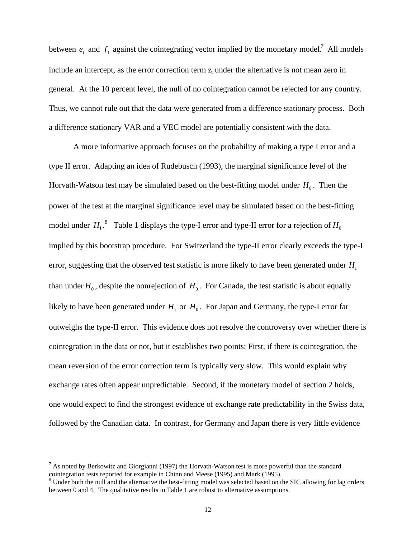between  $e_t$  and  $f_t$  against the cointegrating vector implied by the monetary model.<sup>7</sup> All models include an intercept, as the error correction term  $z_t$  under the alternative is not mean zero in general. At the 10 percent level, the null of no cointegration cannot be rejected for any country. Thus, we cannot rule out that the data were generated from a difference stationary process. Both a difference stationary VAR and a VEC model are potentially consistent with the data.

A more informative approach focuses on the probability of making a type I error and a type II error. Adapting an idea of Rudebusch (1993), the marginal significance level of the Horvath-Watson test may be simulated based on the best-fitting model under  $H_0$ . Then the power of the test at the marginal significance level may be simulated based on the best-fitting model under  $H_1$ .<sup>8</sup> Table 1 displays the type-I error and type-II error for a rejection of  $H_0$ implied by this bootstrap procedure. For Switzerland the type-II error clearly exceeds the type-I error, suggesting that the observed test statistic is more likely to have been generated under  $H_1$ than under  $H_0$ , despite the nonrejection of  $H_0$ . For Canada, the test statistic is about equally likely to have been generated under  $H_1$  or  $H_0$ . For Japan and Germany, the type-I error far outweighs the type-II error. This evidence does not resolve the controversy over whether there is cointegration in the data or not, but it establishes two points: First, if there is cointegration, the mean reversion of the error correction term is typically very slow. This would explain why exchange rates often appear unpredictable. Second, if the monetary model of section 2 holds, one would expect to find the strongest evidence of exchange rate predictability in the Swiss data, followed by the Canadian data. In contrast, for Germany and Japan there is very little evidence

 $\overline{a}$ 

<sup>&</sup>lt;sup>7</sup> As noted by Berkowitz and Giorgianni (1997) the Horvath-Watson test is more powerful than the standard cointegration tests reported for example in Chinn and Meese (1995) and Mark (1995).

 $8$  Under both the null and the alternative the best-fitting model was selected based on the SIC allowing for lag orders between 0 and 4. The qualitative results in Table 1 are robust to alternative assumptions.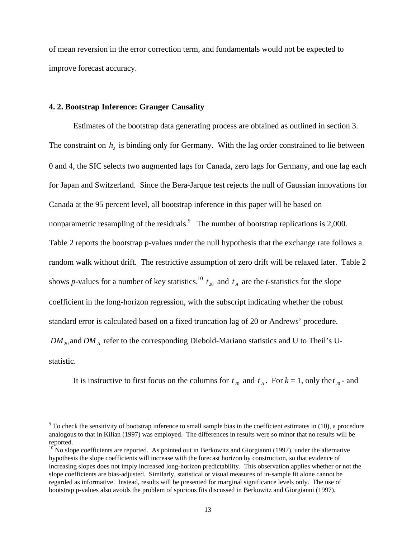of mean reversion in the error correction term, and fundamentals would not be expected to improve forecast accuracy.

#### **4. 2. Bootstrap Inference: Granger Causality**

Estimates of the bootstrap data generating process are obtained as outlined in section 3. The constraint on  $h_2$  is binding only for Germany. With the lag order constrained to lie between 0 and 4, the SIC selects two augmented lags for Canada, zero lags for Germany, and one lag each for Japan and Switzerland. Since the Bera-Jarque test rejects the null of Gaussian innovations for Canada at the 95 percent level, all bootstrap inference in this paper will be based on nonparametric resampling of the residuals. The number of bootstrap replications is 2,000. Table 2 reports the bootstrap p-values under the null hypothesis that the exchange rate follows a random walk without drift. The restrictive assumption of zero drift will be relaxed later. Table 2 shows *p*-values for a number of key statistics.<sup>10</sup>  $t_{20}$  and  $t_A$  are the *t*-statistics for the slope coefficient in the long-horizon regression, with the subscript indicating whether the robust standard error is calculated based on a fixed truncation lag of 20 or Andrews' procedure.  $DM_{20}$  and  $DM_A$  refer to the corresponding Diebold-Mariano statistics and U to Theil's Ustatistic.

It is instructive to first focus on the columns for  $t_{20}$  and  $t_A$ . For  $k = 1$ , only the  $t_{20}$ - and

<sup>&</sup>lt;sup>9</sup> To check the sensitivity of bootstrap inference to small sample bias in the coefficient estimates in (10), a procedure analogous to that in Kilian (1997) was employed. The differences in results were so minor that no results will be reported.

 $10$  No slope coefficients are reported. As pointed out in Berkowitz and Giorgianni (1997), under the alternative hypothesis the slope coefficients will increase with the forecast horizon by construction, so that evidence of increasing slopes does not imply increased long-horizon predictability. This observation applies whether or not the slope coefficients are bias-adjusted. Similarly, statistical or visual measures of in-sample fit alone cannot be regarded as informative. Instead, results will be presented for marginal significance levels only. The use of bootstrap p-values also avoids the problem of spurious fits discussed in Berkowitz and Giorgianni (1997).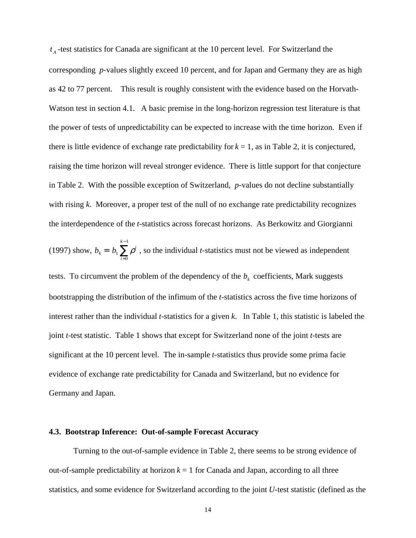$t_A$ -test statistics for Canada are significant at the 10 percent level. For Switzerland the corresponding *p*-values slightly exceed 10 percent, and for Japan and Germany they are as high as 42 to 77 percent. This result is roughly consistent with the evidence based on the Horvath-Watson test in section 4.1. A basic premise in the long-horizon regression test literature is that the power of tests of unpredictability can be expected to increase with the time horizon. Even if there is little evidence of exchange rate predictability for  $k = 1$ , as in Table 2, it is conjectured, raising the time horizon will reveal stronger evidence. There is little support for that conjecture in Table 2. With the possible exception of Switzerland, *p*-values do not decline substantially with rising *k*. Moreover, a proper test of the null of no exchange rate predictability recognizes the interdependence of the *t*-statistics across forecast horizons. As Berkowitz and Giorgianni

(1997) show, 
$$
b_k = b_1 \sum_{i=0}^{k-1} \rho^i
$$
, so the individual *t*-statistics must not be viewed as independent

tests. To circumvent the problem of the dependency of the  $b_k$  coefficients, Mark suggests bootstrapping the distribution of the infimum of the *t*-statistics across the five time horizons of interest rather than the individual *t*-statistics for a given *k*. In Table 1, this statistic is labeled the joint *t*-test statistic. Table 1 shows that except for Switzerland none of the joint *t-*tests are significant at the 10 percent level. The in-sample *t*-statistics thus provide some prima facie evidence of exchange rate predictability for Canada and Switzerland, but no evidence for Germany and Japan.

#### **4.3. Bootstrap Inference: Out-of-sample Forecast Accuracy**

Turning to the out-of-sample evidence in Table 2, there seems to be strong evidence of out-of-sample predictability at horizon  $k = 1$  for Canada and Japan, according to all three statistics, and some evidence for Switzerland according to the joint *U*-test statistic (defined as the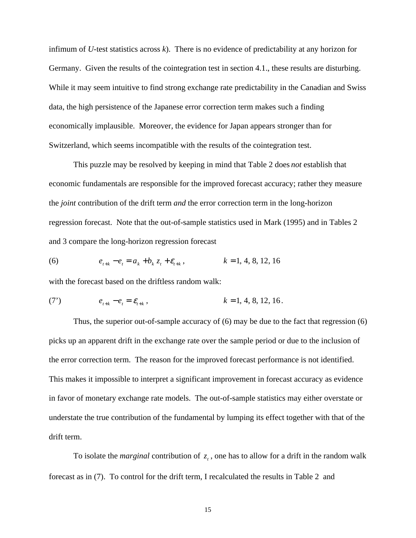infimum of *U*-test statistics across *k*). There is no evidence of predictability at any horizon for Germany. Given the results of the cointegration test in section 4.1., these results are disturbing. While it may seem intuitive to find strong exchange rate predictability in the Canadian and Swiss data, the high persistence of the Japanese error correction term makes such a finding economically implausible. Moreover, the evidence for Japan appears stronger than for Switzerland, which seems incompatible with the results of the cointegration test.

This puzzle may be resolved by keeping in mind that Table 2 does *not* establish that economic fundamentals are responsible for the improved forecast accuracy; rather they measure the *joint* contribution of the drift term *and* the error correction term in the long-horizon regression forecast. Note that the out-of-sample statistics used in Mark (1995) and in Tables 2 and 3 compare the long-horizon regression forecast

(6) 
$$
e_{t+k} - e_t = a_k + b_k z_t + \varepsilon_{t+k}, \qquad k = 1, 4, 8, 12, 16
$$

with the forecast based on the driftless random walk:

(7') 
$$
e_{t+k} - e_t = \mathcal{E}_{t+k}, \qquad k = 1, 4, 8, 12, 16.
$$

Thus, the superior out-of-sample accuracy of (6) may be due to the fact that regression (6) picks up an apparent drift in the exchange rate over the sample period or due to the inclusion of the error correction term. The reason for the improved forecast performance is not identified. This makes it impossible to interpret a significant improvement in forecast accuracy as evidence in favor of monetary exchange rate models. The out-of-sample statistics may either overstate or understate the true contribution of the fundamental by lumping its effect together with that of the drift term.

To isolate the *marginal* contribution of  $z_t$ , one has to allow for a drift in the random walk forecast as in (7). To control for the drift term, I recalculated the results in Table 2 and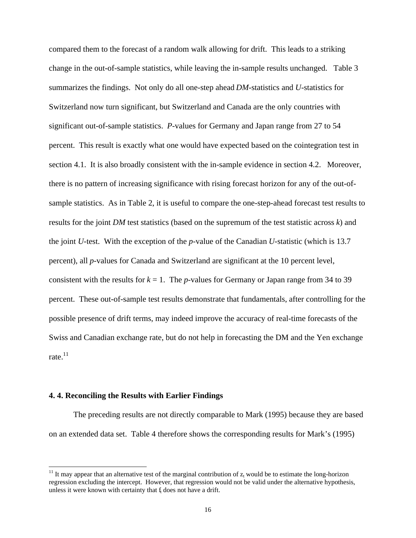compared them to the forecast of a random walk allowing for drift. This leads to a striking change in the out-of-sample statistics, while leaving the in-sample results unchanged. Table 3 summarizes the findings. Not only do all one-step ahead *DM*-statistics and *U*-statistics for Switzerland now turn significant, but Switzerland and Canada are the only countries with significant out-of-sample statistics. *P*-values for Germany and Japan range from 27 to 54 percent. This result is exactly what one would have expected based on the cointegration test in section 4.1. It is also broadly consistent with the in-sample evidence in section 4.2. Moreover, there is no pattern of increasing significance with rising forecast horizon for any of the out-ofsample statistics. As in Table 2, it is useful to compare the one-step-ahead forecast test results to results for the joint *DM* test statistics (based on the supremum of the test statistic across *k*) and the joint *U*-test. With the exception of the *p*-value of the Canadian *U*-statistic (which is 13.7 percent), all *p*-values for Canada and Switzerland are significant at the 10 percent level, consistent with the results for  $k = 1$ . The *p*-values for Germany or Japan range from 34 to 39 percent. These out-of-sample test results demonstrate that fundamentals, after controlling for the possible presence of drift terms, may indeed improve the accuracy of real-time forecasts of the Swiss and Canadian exchange rate, but do not help in forecasting the DM and the Yen exchange rate. $11$ 

#### **4. 4. Reconciling the Results with Earlier Findings**

 $\overline{a}$ 

The preceding results are not directly comparable to Mark (1995) because they are based on an extended data set. Table 4 therefore shows the corresponding results for Mark's (1995)

<sup>&</sup>lt;sup>11</sup> It may appear that an alternative test of the marginal contribution of  $z_t$  would be to estimate the long-horizon regression excluding the intercept. However, that regression would not be valid under the alternative hypothesis, unless it were known with certainty that  $f_t$  does not have a drift.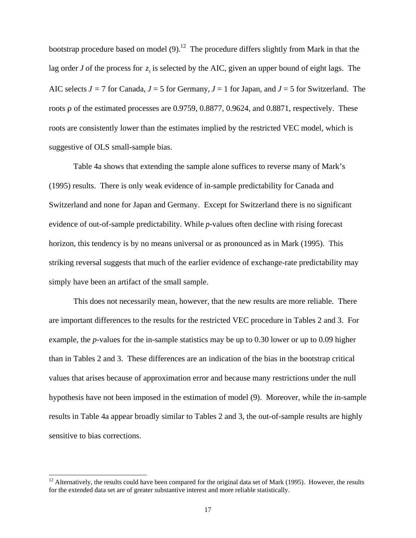bootstrap procedure based on model  $(9)^{12}$ . The procedure differs slightly from Mark in that the lag order *J* of the process for  $z<sub>i</sub>$  is selected by the AIC, given an upper bound of eight lags. The AIC selects  $J = 7$  for Canada,  $J = 5$  for Germany,  $J = 1$  for Japan, and  $J = 5$  for Switzerland. The roots  $\rho$  of the estimated processes are 0.9759, 0.8877, 0.9624, and 0.8871, respectively. These roots are consistently lower than the estimates implied by the restricted VEC model, which is suggestive of OLS small-sample bias.

Table 4a shows that extending the sample alone suffices to reverse many of Mark's (1995) results. There is only weak evidence of in-sample predictability for Canada and Switzerland and none for Japan and Germany. Except for Switzerland there is no significant evidence of out-of-sample predictability. While *p*-values often decline with rising forecast horizon, this tendency is by no means universal or as pronounced as in Mark (1995). This striking reversal suggests that much of the earlier evidence of exchange-rate predictability may simply have been an artifact of the small sample.

This does not necessarily mean, however, that the new results are more reliable. There are important differences to the results for the restricted VEC procedure in Tables 2 and 3. For example, the *p*-values for the in-sample statistics may be up to 0.30 lower or up to 0.09 higher than in Tables 2 and 3. These differences are an indication of the bias in the bootstrap critical values that arises because of approximation error and because many restrictions under the null hypothesis have not been imposed in the estimation of model (9). Moreover, while the in-sample results in Table 4a appear broadly similar to Tables 2 and 3, the out-of-sample results are highly sensitive to bias corrections.

 $\overline{a}$ 

 $12$  Alternatively, the results could have been compared for the original data set of Mark (1995). However, the results for the extended data set are of greater substantive interest and more reliable statistically.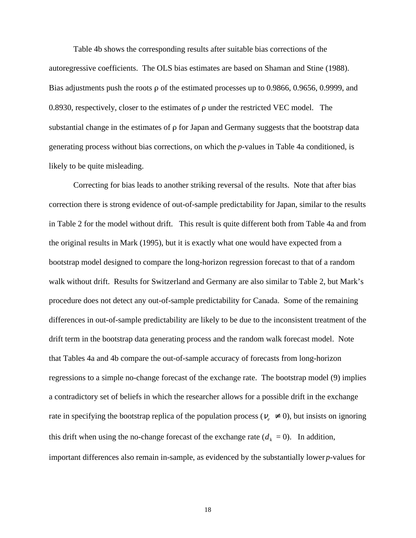Table 4b shows the corresponding results after suitable bias corrections of the autoregressive coefficients. The OLS bias estimates are based on Shaman and Stine (1988). Bias adjustments push the roots  $\rho$  of the estimated processes up to 0.9866, 0.9656, 0.9999, and 0.8930, respectively, closer to the estimates of  $\rho$  under the restricted VEC model. The substantial change in the estimates of  $\rho$  for Japan and Germany suggests that the bootstrap data generating process without bias corrections, on which the *p*-values in Table 4a conditioned, is likely to be quite misleading.

Correcting for bias leads to another striking reversal of the results. Note that after bias correction there is strong evidence of out-of-sample predictability for Japan, similar to the results in Table 2 for the model without drift. This result is quite different both from Table 4a and from the original results in Mark (1995), but it is exactly what one would have expected from a bootstrap model designed to compare the long-horizon regression forecast to that of a random walk without drift. Results for Switzerland and Germany are also similar to Table 2, but Mark's procedure does not detect any out-of-sample predictability for Canada. Some of the remaining differences in out-of-sample predictability are likely to be due to the inconsistent treatment of the drift term in the bootstrap data generating process and the random walk forecast model. Note that Tables 4a and 4b compare the out-of-sample accuracy of forecasts from long-horizon regressions to a simple no-change forecast of the exchange rate. The bootstrap model (9) implies a contradictory set of beliefs in which the researcher allows for a possible drift in the exchange rate in specifying the bootstrap replica of the population process ( $v_e \neq 0$ ), but insists on ignoring this drift when using the no-change forecast of the exchange rate  $(d_k = 0)$ . In addition, important differences also remain in-sample, as evidenced by the substantially lower *p*-values for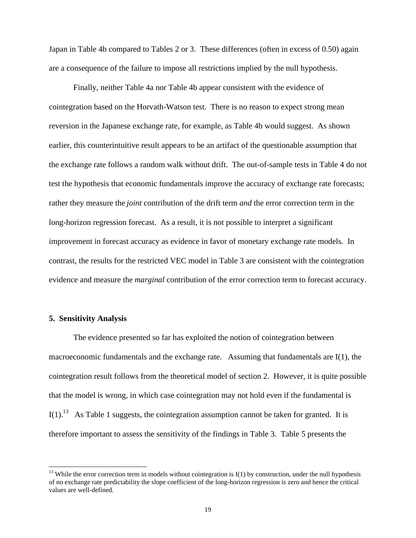Japan in Table 4b compared to Tables 2 or 3. These differences (often in excess of 0.50) again are a consequence of the failure to impose all restrictions implied by the null hypothesis.

Finally, neither Table 4a nor Table 4b appear consistent with the evidence of cointegration based on the Horvath-Watson test. There is no reason to expect strong mean reversion in the Japanese exchange rate, for example, as Table 4b would suggest. As shown earlier, this counterintuitive result appears to be an artifact of the questionable assumption that the exchange rate follows a random walk without drift. The out-of-sample tests in Table 4 do not test the hypothesis that economic fundamentals improve the accuracy of exchange rate forecasts; rather they measure the *joint* contribution of the drift term *and* the error correction term in the long-horizon regression forecast. As a result, it is not possible to interpret a significant improvement in forecast accuracy as evidence in favor of monetary exchange rate models. In contrast, the results for the restricted VEC model in Table 3 are consistent with the cointegration evidence and measure the *marginal* contribution of the error correction term to forecast accuracy.

#### **5. Sensitivity Analysis**

 $\overline{a}$ 

The evidence presented so far has exploited the notion of cointegration between macroeconomic fundamentals and the exchange rate. Assuming that fundamentals are I(1), the cointegration result follows from the theoretical model of section 2. However, it is quite possible that the model is wrong, in which case cointegration may not hold even if the fundamental is  $I(1)$ .<sup>13</sup> As Table 1 suggests, the cointegration assumption cannot be taken for granted. It is therefore important to assess the sensitivity of the findings in Table 3. Table 5 presents the

 $13$  While the error correction term in models without cointegration is  $I(1)$  by construction, under the null hypothesis of no exchange rate predictability the slope coefficient of the long-horizon regression is zero and hence the critical values are well-defined.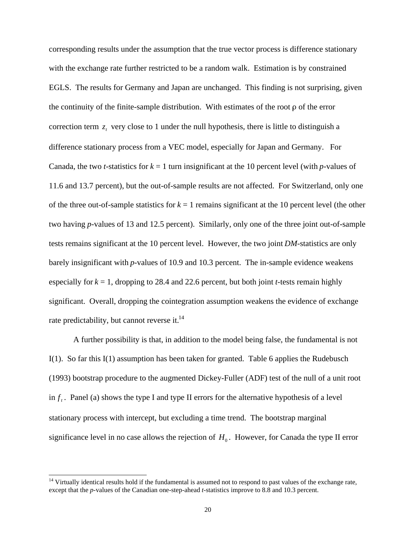corresponding results under the assumption that the true vector process is difference stationary with the exchange rate further restricted to be a random walk. Estimation is by constrained EGLS. The results for Germany and Japan are unchanged. This finding is not surprising, given the continuity of the finite-sample distribution. With estimates of the root  $\rho$  of the error correction term  $z_t$ , very close to 1 under the null hypothesis, there is little to distinguish a difference stationary process from a VEC model, especially for Japan and Germany. For Canada, the two *t*-statistics for  $k = 1$  turn insignificant at the 10 percent level (with *p*-values of 11.6 and 13.7 percent), but the out-of-sample results are not affected. For Switzerland, only one of the three out-of-sample statistics for  $k = 1$  remains significant at the 10 percent level (the other two having *p*-values of 13 and 12.5 percent). Similarly, only one of the three joint out-of-sample tests remains significant at the 10 percent level. However, the two joint *DM*-statistics are only barely insignificant with *p*-values of 10.9 and 10.3 percent. The in-sample evidence weakens especially for  $k = 1$ , dropping to 28.4 and 22.6 percent, but both joint *t*-tests remain highly significant. Overall, dropping the cointegration assumption weakens the evidence of exchange rate predictability, but cannot reverse it.<sup>14</sup>

A further possibility is that, in addition to the model being false, the fundamental is not I(1). So far this I(1) assumption has been taken for granted. Table 6 applies the Rudebusch (1993) bootstrap procedure to the augmented Dickey-Fuller (ADF) test of the null of a unit root in  $f_t$ . Panel (a) shows the type I and type II errors for the alternative hypothesis of a level stationary process with intercept, but excluding a time trend. The bootstrap marginal significance level in no case allows the rejection of  $H_0$ . However, for Canada the type II error

 $\overline{a}$ 

 $14$  Virtually identical results hold if the fundamental is assumed not to respond to past values of the exchange rate, except that the *p*-values of the Canadian one-step-ahead *t*-statistics improve to 8.8 and 10.3 percent.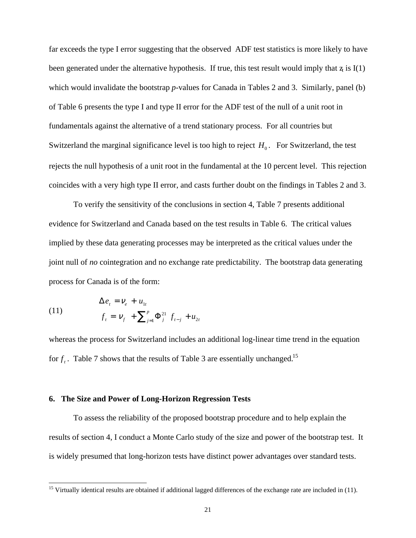far exceeds the type I error suggesting that the observed ADF test statistics is more likely to have been generated under the alternative hypothesis. If true, this test result would imply that  $z_i$  is I(1) which would invalidate the bootstrap *p*-values for Canada in Tables 2 and 3. Similarly, panel (b) of Table 6 presents the type I and type II error for the ADF test of the null of a unit root in fundamentals against the alternative of a trend stationary process. For all countries but Switzerland the marginal significance level is too high to reject  $H_0$ . For Switzerland, the test rejects the null hypothesis of a unit root in the fundamental at the 10 percent level. This rejection coincides with a very high type II error, and casts further doubt on the findings in Tables 2 and 3.

To verify the sensitivity of the conclusions in section 4, Table 7 presents additional evidence for Switzerland and Canada based on the test results in Table 6. The critical values implied by these data generating processes may be interpreted as the critical values under the joint null of *no* cointegration and no exchange rate predictability. The bootstrap data generating process for Canada is of the form:

(11) 
$$
\Delta e_t = V_e + u_{1t} \nf_t = V_f + \sum_{j=1}^p \Phi_j^{21} f_{t-j} + u_{2t}
$$

 $\overline{a}$ 

whereas the process for Switzerland includes an additional log-linear time trend in the equation for  $f<sub>i</sub>$ . Table 7 shows that the results of Table 3 are essentially unchanged.<sup>15</sup>

#### **6. The Size and Power of Long-Horizon Regression Tests**

To assess the reliability of the proposed bootstrap procedure and to help explain the results of section 4, I conduct a Monte Carlo study of the size and power of the bootstrap test. It is widely presumed that long-horizon tests have distinct power advantages over standard tests.

<sup>&</sup>lt;sup>15</sup> Virtually identical results are obtained if additional lagged differences of the exchange rate are included in  $(11)$ .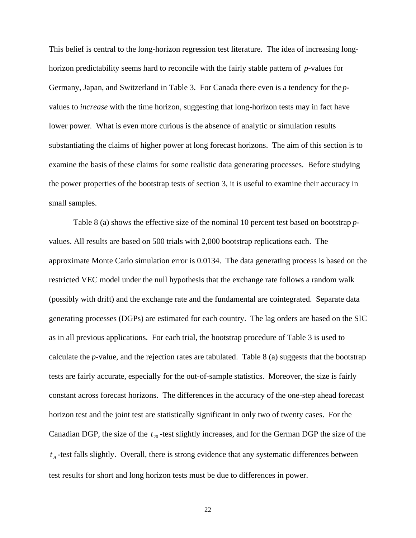This belief is central to the long-horizon regression test literature. The idea of increasing longhorizon predictability seems hard to reconcile with the fairly stable pattern of *p*-values for Germany, Japan, and Switzerland in Table 3. For Canada there even is a tendency for the *p*values to *increase* with the time horizon, suggesting that long-horizon tests may in fact have lower power. What is even more curious is the absence of analytic or simulation results substantiating the claims of higher power at long forecast horizons. The aim of this section is to examine the basis of these claims for some realistic data generating processes. Before studying the power properties of the bootstrap tests of section 3, it is useful to examine their accuracy in small samples.

Table 8 (a) shows the effective size of the nominal 10 percent test based on bootstrap *p*values. All results are based on 500 trials with 2,000 bootstrap replications each. The approximate Monte Carlo simulation error is 0.0134. The data generating process is based on the restricted VEC model under the null hypothesis that the exchange rate follows a random walk (possibly with drift) and the exchange rate and the fundamental are cointegrated. Separate data generating processes (DGPs) are estimated for each country. The lag orders are based on the SIC as in all previous applications. For each trial, the bootstrap procedure of Table 3 is used to calculate the *p*-value, and the rejection rates are tabulated. Table 8 (a) suggests that the bootstrap tests are fairly accurate, especially for the out-of-sample statistics. Moreover, the size is fairly constant across forecast horizons. The differences in the accuracy of the one-step ahead forecast horizon test and the joint test are statistically significant in only two of twenty cases. For the Canadian DGP, the size of the  $t_{20}$ -test slightly increases, and for the German DGP the size of the  $t_A$ -test falls slightly. Overall, there is strong evidence that any systematic differences between test results for short and long horizon tests must be due to differences in power.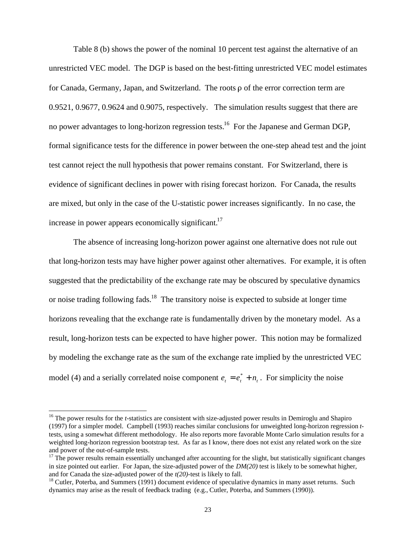Table 8 (b) shows the power of the nominal 10 percent test against the alternative of an unrestricted VEC model. The DGP is based on the best-fitting unrestricted VEC model estimates for Canada, Germany, Japan, and Switzerland. The roots  $\rho$  of the error correction term are 0.9521, 0.9677, 0.9624 and 0.9075, respectively. The simulation results suggest that there are no power advantages to long-horizon regression tests.<sup>16</sup> For the Japanese and German DGP, formal significance tests for the difference in power between the one-step ahead test and the joint test cannot reject the null hypothesis that power remains constant. For Switzerland, there is evidence of significant declines in power with rising forecast horizon. For Canada, the results are mixed, but only in the case of the U-statistic power increases significantly. In no case, the increase in power appears economically significant.<sup>17</sup>

The absence of increasing long-horizon power against one alternative does not rule out that long-horizon tests may have higher power against other alternatives. For example, it is often suggested that the predictability of the exchange rate may be obscured by speculative dynamics or noise trading following fads.<sup>18</sup> The transitory noise is expected to subside at longer time horizons revealing that the exchange rate is fundamentally driven by the monetary model. As a result, long-horizon tests can be expected to have higher power. This notion may be formalized by modeling the exchange rate as the sum of the exchange rate implied by the unrestricted VEC model (4) and a serially correlated noise component  $e_t = e_t^* + n_t$ . For simplicity the noise

 $\overline{a}$ 

<sup>&</sup>lt;sup>16</sup> The power results for the *t*-statistics are consistent with size-adjusted power results in Demiroglu and Shapiro (1997) for a simpler model. Campbell (1993) reaches similar conclusions for unweighted long-horizon regression *t*tests, using a somewhat different methodology. He also reports more favorable Monte Carlo simulation results for a weighted long-horizon regression bootstrap test. As far as I know, there does not exist any related work on the size and power of the out-of-sample tests.

 $17$  The power results remain essentially unchanged after accounting for the slight, but statistically significant changes in size pointed out earlier. For Japan, the size-adjusted power of the  $DM(20)$  test is likely to be somewhat higher, and for Canada the size-adjusted power of the  $t(20)$ -test is likely to fall.

<sup>&</sup>lt;sup>18</sup> Cutler, Poterba, and Summers (1991) document evidence of speculative dynamics in many asset returns. Such dynamics may arise as the result of feedback trading (e.g., Cutler, Poterba, and Summers (1990)).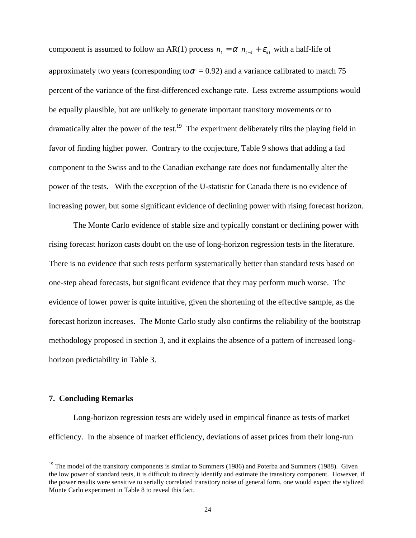component is assumed to follow an AR(1) process  $n_t = \alpha$   $n_{t-1} + \varepsilon_{nt}$  with a half-life of approximately two years (corresponding to  $\alpha$  = 0.92) and a variance calibrated to match 75 percent of the variance of the first-differenced exchange rate. Less extreme assumptions would be equally plausible, but are unlikely to generate important transitory movements or to dramatically alter the power of the test.<sup>19</sup> The experiment deliberately tilts the playing field in favor of finding higher power. Contrary to the conjecture, Table 9 shows that adding a fad component to the Swiss and to the Canadian exchange rate does not fundamentally alter the power of the tests. With the exception of the U-statistic for Canada there is no evidence of increasing power, but some significant evidence of declining power with rising forecast horizon.

The Monte Carlo evidence of stable size and typically constant or declining power with rising forecast horizon casts doubt on the use of long-horizon regression tests in the literature. There is no evidence that such tests perform systematically better than standard tests based on one-step ahead forecasts, but significant evidence that they may perform much worse. The evidence of lower power is quite intuitive, given the shortening of the effective sample, as the forecast horizon increases. The Monte Carlo study also confirms the reliability of the bootstrap methodology proposed in section 3, and it explains the absence of a pattern of increased longhorizon predictability in Table 3.

#### **7. Concluding Remarks**

 $\overline{a}$ 

Long-horizon regression tests are widely used in empirical finance as tests of market efficiency. In the absence of market efficiency, deviations of asset prices from their long-run

 $19$  The model of the transitory components is similar to Summers (1986) and Poterba and Summers (1988). Given the low power of standard tests, it is difficult to directly identify and estimate the transitory component. However, if the power results were sensitive to serially correlated transitory noise of general form, one would expect the stylized Monte Carlo experiment in Table 8 to reveal this fact.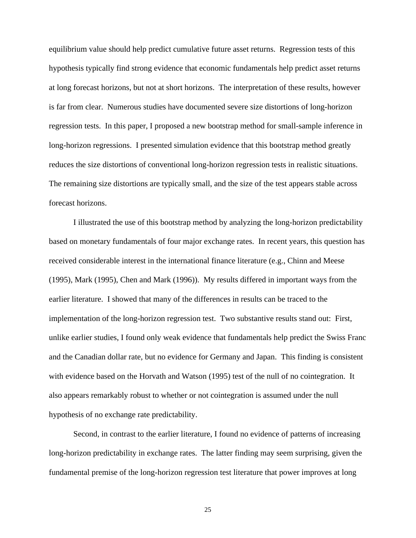equilibrium value should help predict cumulative future asset returns. Regression tests of this hypothesis typically find strong evidence that economic fundamentals help predict asset returns at long forecast horizons, but not at short horizons. The interpretation of these results, however is far from clear. Numerous studies have documented severe size distortions of long-horizon regression tests. In this paper, I proposed a new bootstrap method for small-sample inference in long-horizon regressions. I presented simulation evidence that this bootstrap method greatly reduces the size distortions of conventional long-horizon regression tests in realistic situations. The remaining size distortions are typically small, and the size of the test appears stable across forecast horizons.

I illustrated the use of this bootstrap method by analyzing the long-horizon predictability based on monetary fundamentals of four major exchange rates. In recent years, this question has received considerable interest in the international finance literature (e.g., Chinn and Meese (1995), Mark (1995), Chen and Mark (1996)). My results differed in important ways from the earlier literature. I showed that many of the differences in results can be traced to the implementation of the long-horizon regression test. Two substantive results stand out: First, unlike earlier studies, I found only weak evidence that fundamentals help predict the Swiss Franc and the Canadian dollar rate, but no evidence for Germany and Japan. This finding is consistent with evidence based on the Horvath and Watson (1995) test of the null of no cointegration. It also appears remarkably robust to whether or not cointegration is assumed under the null hypothesis of no exchange rate predictability.

Second, in contrast to the earlier literature, I found no evidence of patterns of increasing long-horizon predictability in exchange rates. The latter finding may seem surprising, given the fundamental premise of the long-horizon regression test literature that power improves at long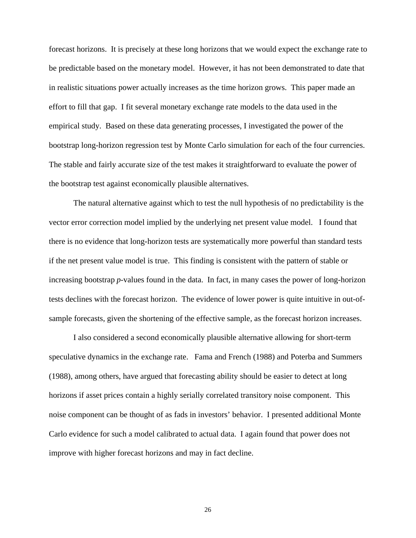forecast horizons. It is precisely at these long horizons that we would expect the exchange rate to be predictable based on the monetary model. However, it has not been demonstrated to date that in realistic situations power actually increases as the time horizon grows. This paper made an effort to fill that gap. I fit several monetary exchange rate models to the data used in the empirical study. Based on these data generating processes, I investigated the power of the bootstrap long-horizon regression test by Monte Carlo simulation for each of the four currencies. The stable and fairly accurate size of the test makes it straightforward to evaluate the power of the bootstrap test against economically plausible alternatives.

The natural alternative against which to test the null hypothesis of no predictability is the vector error correction model implied by the underlying net present value model. I found that there is no evidence that long-horizon tests are systematically more powerful than standard tests if the net present value model is true. This finding is consistent with the pattern of stable or increasing bootstrap *p*-values found in the data. In fact, in many cases the power of long-horizon tests declines with the forecast horizon. The evidence of lower power is quite intuitive in out-ofsample forecasts, given the shortening of the effective sample, as the forecast horizon increases.

I also considered a second economically plausible alternative allowing for short-term speculative dynamics in the exchange rate. Fama and French (1988) and Poterba and Summers (1988), among others, have argued that forecasting ability should be easier to detect at long horizons if asset prices contain a highly serially correlated transitory noise component. This noise component can be thought of as fads in investors' behavior. I presented additional Monte Carlo evidence for such a model calibrated to actual data. I again found that power does not improve with higher forecast horizons and may in fact decline.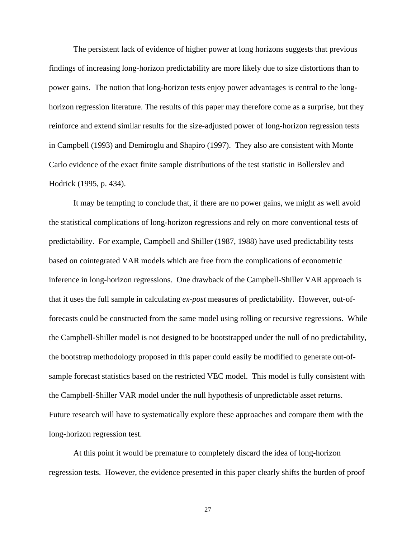The persistent lack of evidence of higher power at long horizons suggests that previous findings of increasing long-horizon predictability are more likely due to size distortions than to power gains. The notion that long-horizon tests enjoy power advantages is central to the longhorizon regression literature. The results of this paper may therefore come as a surprise, but they reinforce and extend similar results for the size-adjusted power of long-horizon regression tests in Campbell (1993) and Demiroglu and Shapiro (1997). They also are consistent with Monte Carlo evidence of the exact finite sample distributions of the test statistic in Bollerslev and Hodrick (1995, p. 434).

It may be tempting to conclude that, if there are no power gains, we might as well avoid the statistical complications of long-horizon regressions and rely on more conventional tests of predictability. For example, Campbell and Shiller (1987, 1988) have used predictability tests based on cointegrated VAR models which are free from the complications of econometric inference in long-horizon regressions. One drawback of the Campbell-Shiller VAR approach is that it uses the full sample in calculating *ex-post* measures of predictability. However, out-offorecasts could be constructed from the same model using rolling or recursive regressions. While the Campbell-Shiller model is not designed to be bootstrapped under the null of no predictability, the bootstrap methodology proposed in this paper could easily be modified to generate out-ofsample forecast statistics based on the restricted VEC model. This model is fully consistent with the Campbell-Shiller VAR model under the null hypothesis of unpredictable asset returns. Future research will have to systematically explore these approaches and compare them with the long-horizon regression test.

At this point it would be premature to completely discard the idea of long-horizon regression tests. However, the evidence presented in this paper clearly shifts the burden of proof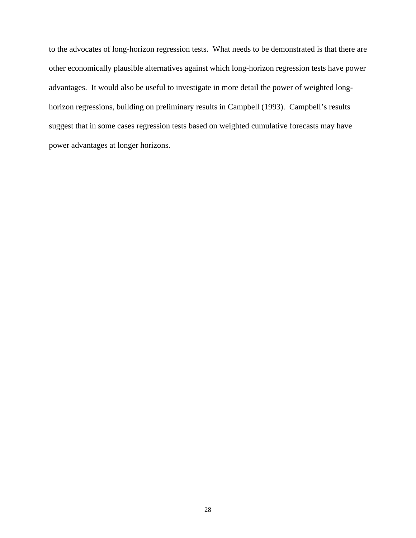to the advocates of long-horizon regression tests. What needs to be demonstrated is that there are other economically plausible alternatives against which long-horizon regression tests have power advantages. It would also be useful to investigate in more detail the power of weighted longhorizon regressions, building on preliminary results in Campbell (1993). Campbell's results suggest that in some cases regression tests based on weighted cumulative forecasts may have power advantages at longer horizons.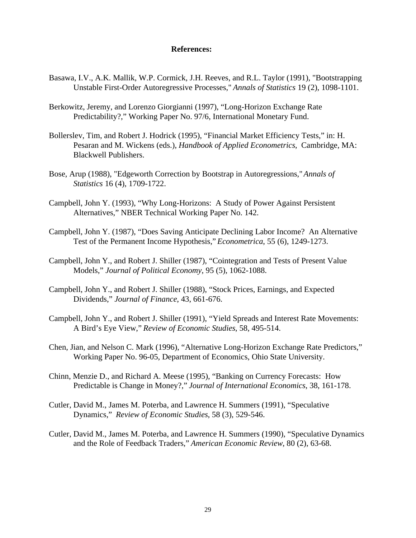#### **References:**

- Basawa, I.V., A.K. Mallik, W.P. Cormick, J.H. Reeves, and R.L. Taylor (1991), "Bootstrapping Unstable First-Order Autoregressive Processes," *Annals of Statistics* 19 (2), 1098-1101.
- Berkowitz, Jeremy, and Lorenzo Giorgianni (1997), "Long-Horizon Exchange Rate Predictability?," Working Paper No. 97/6, International Monetary Fund.
- Bollerslev, Tim, and Robert J. Hodrick (1995), "Financial Market Efficiency Tests," in: H. Pesaran and M. Wickens (eds.), *Handbook of Applied Econometrics*, Cambridge, MA: Blackwell Publishers.
- Bose, Arup (1988), "Edgeworth Correction by Bootstrap in Autoregressions," *Annals of Statistics* 16 (4), 1709-1722.
- Campbell, John Y. (1993), "Why Long-Horizons: A Study of Power Against Persistent Alternatives," NBER Technical Working Paper No. 142.
- Campbell, John Y. (1987), "Does Saving Anticipate Declining Labor Income? An Alternative Test of the Permanent Income Hypothesis," *Econometrica*, 55 (6), 1249-1273.
- Campbell, John Y., and Robert J. Shiller (1987), "Cointegration and Tests of Present Value Models," *Journal of Political Economy*, 95 (5), 1062-1088.
- Campbell, John Y., and Robert J. Shiller (1988), "Stock Prices, Earnings, and Expected Dividends," *Journal of Finance*, 43, 661-676.
- Campbell, John Y., and Robert J. Shiller (1991), "Yield Spreads and Interest Rate Movements: A Bird's Eye View," *Review of Economic Studies*, 58, 495-514.
- Chen, Jian, and Nelson C. Mark (1996), "Alternative Long-Horizon Exchange Rate Predictors," Working Paper No. 96-05, Department of Economics, Ohio State University.
- Chinn, Menzie D., and Richard A. Meese (1995), "Banking on Currency Forecasts: How Predictable is Change in Money?," *Journal of International Economics*, 38, 161-178.
- Cutler, David M., James M. Poterba, and Lawrence H. Summers (1991), "Speculative Dynamics," *Review of Economic Studies*, 58 (3), 529-546.
- Cutler, David M., James M. Poterba, and Lawrence H. Summers (1990), "Speculative Dynamics and the Role of Feedback Traders," *American Economic Review*, 80 (2), 63-68.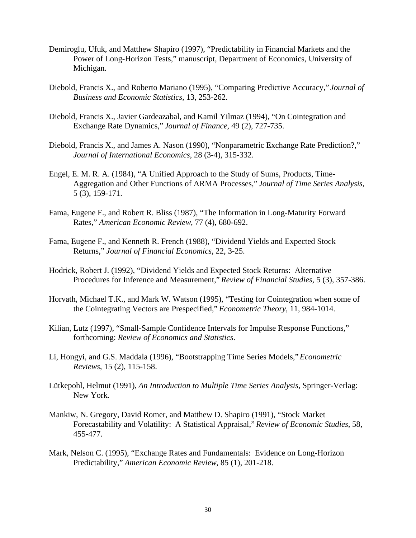- Demiroglu, Ufuk, and Matthew Shapiro (1997), "Predictability in Financial Markets and the Power of Long-Horizon Tests," manuscript, Department of Economics, University of Michigan.
- Diebold, Francis X., and Roberto Mariano (1995), "Comparing Predictive Accuracy," *Journal of Business and Economic Statistics*, 13, 253-262.
- Diebold, Francis X., Javier Gardeazabal, and Kamil Yilmaz (1994), "On Cointegration and Exchange Rate Dynamics," *Journal of Finance*, 49 (2), 727-735.
- Diebold, Francis X., and James A. Nason (1990), "Nonparametric Exchange Rate Prediction?," *Journal of International Economics*, 28 (3-4), 315-332.
- Engel, E. M. R. A. (1984), "A Unified Approach to the Study of Sums, Products, Time-Aggregation and Other Functions of ARMA Processes," *Journal of Time Series Analysis*, 5 (3), 159-171.
- Fama, Eugene F., and Robert R. Bliss (1987), "The Information in Long-Maturity Forward Rates," *American Economic Review*, 77 (4), 680-692.
- Fama, Eugene F., and Kenneth R. French (1988), "Dividend Yields and Expected Stock Returns," *Journal of Financial Economics*, 22, 3-25.
- Hodrick, Robert J. (1992), "Dividend Yields and Expected Stock Returns: Alternative Procedures for Inference and Measurement," *Review of Financial Studies*, 5 (3), 357-386.
- Horvath, Michael T.K., and Mark W. Watson (1995), "Testing for Cointegration when some of the Cointegrating Vectors are Prespecified," *Econometric Theory*, 11, 984-1014.
- Kilian, Lutz (1997), "Small-Sample Confidence Intervals for Impulse Response Functions," forthcoming: *Review of Economics and Statistics*.
- Li, Hongyi, and G.S. Maddala (1996), "Bootstrapping Time Series Models," *Econometric Reviews*, 15 (2), 115-158.
- Lütkepohl, Helmut (1991), *An Introduction to Multiple Time Series Analysis*, Springer-Verlag: New York.
- Mankiw, N. Gregory, David Romer, and Matthew D. Shapiro (1991), "Stock Market Forecastability and Volatility: A Statistical Appraisal," *Review of Economic Studies*, 58, 455-477.
- Mark, Nelson C. (1995), "Exchange Rates and Fundamentals: Evidence on Long-Horizon Predictability," *American Economic Review*, 85 (1), 201-218.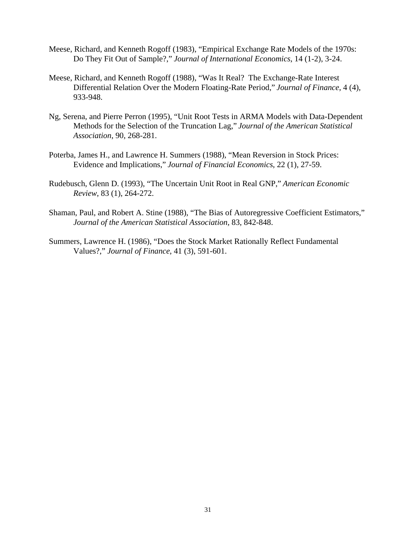- Meese, Richard, and Kenneth Rogoff (1983), "Empirical Exchange Rate Models of the 1970s: Do They Fit Out of Sample?," *Journal of International Economics*, 14 (1-2), 3-24.
- Meese, Richard, and Kenneth Rogoff (1988), "Was It Real? The Exchange-Rate Interest Differential Relation Over the Modern Floating-Rate Period," *Journal of Finance*, 4 (4), 933-948.
- Ng, Serena, and Pierre Perron (1995), "Unit Root Tests in ARMA Models with Data-Dependent Methods for the Selection of the Truncation Lag," *Journal of the American Statistical Association*, 90, 268-281.
- Poterba, James H., and Lawrence H. Summers (1988), "Mean Reversion in Stock Prices: Evidence and Implications," *Journal of Financial Economics*, 22 (1), 27-59.
- Rudebusch, Glenn D. (1993), "The Uncertain Unit Root in Real GNP," *American Economic Review*, 83 (1), 264-272.
- Shaman, Paul, and Robert A. Stine (1988), "The Bias of Autoregressive Coefficient Estimators," *Journal of the American Statistical Association*, 83, 842-848.
- Summers, Lawrence H. (1986), "Does the Stock Market Rationally Reflect Fundamental Values?," *Journal of Finance*, 41 (3), 591-601.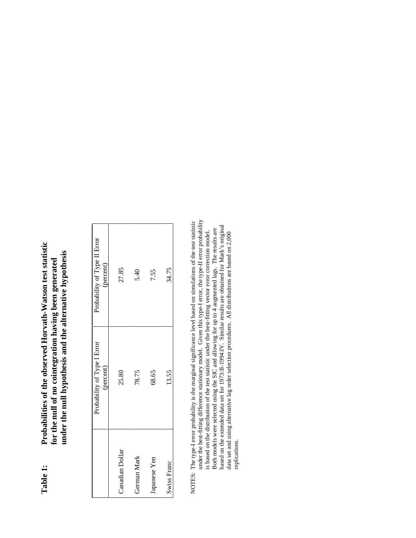Probabilities of the observed Horvath-Watson test statistic **Table 1: Probabilities of the observed Horvath-Watson test statistic** under the null hypothesis and the alternative hypothesis **under the null hypothesis and the alternative hypothesis** for the null of no cointegration having been generated **for the null of no cointegration having been generated** Table 1:

Ī

| Probability of Type II Error<br>(percent) | 27.85           | 5.40        | 7.55         | 34.75       |
|-------------------------------------------|-----------------|-------------|--------------|-------------|
| Probability of Type I Error<br>(percent)  | 25.80           | 78.75       | 68.65        | 13.55       |
|                                           | Canadian Dollar | German Mark | Japanese Yen | Swiss Franc |

NOTES: The type-I error probability is the marginal significance level based on simulations of the test statistic<br>under the best-fitting difference stationary model. Given this type-I error, the type-I error probability under the best-fitting difference stationary model. Given this type-I error, the type-II error probability NOTES: The type-I error probability is the marginal significance level based on simulations of the test statistic is based on the distribution of the test statistic under the best-fitting vector error correction model.<br>Both models were selected using the SIC and allowing for up to 4 augmented lags. The results are based on the extend based on the extended data set for 1973:II-1994:IV. Similar results are obtained for Mark's original Both models were selected using the SIC and allowing for up to 4 augmented lags. The results are is based on the distribution of the test statistic under the best-fitting vector error correction model. data set and using alternative lag order selection procedures. All distributions are based on 2,000 data set and using alternative lag order selection procedures. All distributions are based on 2,000 replications. replications.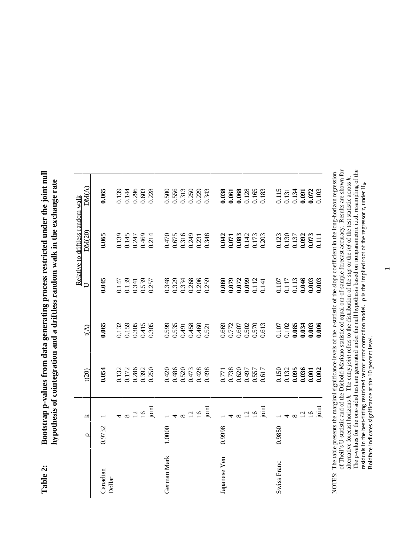| $\sim$ iquint must<br>January 1<br>alter anno<br>$\sim$<br><b>דומט ב מטשט שינו</b><br>n volues from data conorating process re<br>t<br>i<br>$\frac{1}{2}$<br>A STATE COMPANY IS<br>$\frac{1}{2}$<br>i<br>S<br>- 2021 | $\sim$ $\sim$ $\sim$ $\sim$<br>ĺ<br>$\sim$<br>"Thee random walk in the<br>i<br>the c c centerted from<br>on connect<br>È<br>H |
|----------------------------------------------------------------------------------------------------------------------------------------------------------------------------------------------------------------------|-------------------------------------------------------------------------------------------------------------------------------|
| į<br>Ξ                                                                                                                                                                                                               |                                                                                                                               |

|                    |         |                 |                                                                                                     |                                                                                                                       |                                           | Relative to driftless random walk         |                                                  |  |
|--------------------|---------|-----------------|-----------------------------------------------------------------------------------------------------|-----------------------------------------------------------------------------------------------------------------------|-------------------------------------------|-------------------------------------------|--------------------------------------------------|--|
|                    | $\circ$ | ≚               | t(20)                                                                                               | t(A)                                                                                                                  | $\Box$                                    | DM(20)                                    | DM(A)                                            |  |
| Canadian<br>Dollar | 0.9732  |                 | 0.054                                                                                               | 0.065                                                                                                                 | 0.045                                     | 0.065                                     | 0.065                                            |  |
|                    |         |                 |                                                                                                     |                                                                                                                       |                                           |                                           |                                                  |  |
|                    |         |                 | 0.132<br>0.172<br>0.286<br>0.392<br>0.250                                                           | 0.132<br>0.159<br>0.305<br>0.415<br>0.305                                                                             | 0.147<br>0.139<br>0.341<br>0.539<br>0.257 | 0.139<br>0.145<br>0.247<br>0.469<br>0.214 | 0.139<br>0.144<br>0.296<br>0.603<br>0.228        |  |
|                    |         |                 |                                                                                                     |                                                                                                                       |                                           |                                           |                                                  |  |
|                    |         | $\frac{2}{16}$  |                                                                                                     |                                                                                                                       |                                           |                                           |                                                  |  |
|                    |         | joint           |                                                                                                     |                                                                                                                       |                                           |                                           |                                                  |  |
| German Mark        | 1.0000  |                 |                                                                                                     |                                                                                                                       |                                           |                                           |                                                  |  |
|                    |         |                 | 0.420<br>0.486<br>0.520<br>0.428<br>0.498                                                           | 0.599<br>0.535<br>0.491                                                                                               |                                           |                                           |                                                  |  |
|                    |         |                 |                                                                                                     |                                                                                                                       |                                           |                                           |                                                  |  |
|                    |         | $\overline{C}$  |                                                                                                     |                                                                                                                       |                                           |                                           |                                                  |  |
|                    |         | $\overline{16}$ |                                                                                                     |                                                                                                                       |                                           |                                           |                                                  |  |
|                    |         | joint           |                                                                                                     | 0.458<br>0.460<br>0.521                                                                                               | 0.348<br>0.329<br>0.334<br>0.268<br>0.259 | 0.470<br>0.675<br>0.316<br>0.249<br>0.348 | 0.500<br>0.556<br>0.313<br>0.229<br>0.343        |  |
| Japanese Yen       | 0.9998  |                 |                                                                                                     |                                                                                                                       |                                           |                                           |                                                  |  |
|                    |         |                 | 0.771<br>0.738<br>0.620<br>0.557<br>0.557                                                           | 0.669<br>0.772<br>0.607<br>0.502<br>0.613                                                                             |                                           | 0.042<br>0.071<br>0.083<br>0.173<br>0.203 | <b>0.038</b><br>0.061<br>0.068<br>0.165<br>0.183 |  |
|                    |         |                 |                                                                                                     |                                                                                                                       |                                           |                                           |                                                  |  |
|                    |         | $\frac{2}{16}$  |                                                                                                     |                                                                                                                       |                                           |                                           |                                                  |  |
|                    |         |                 |                                                                                                     |                                                                                                                       |                                           |                                           |                                                  |  |
|                    |         | joint           |                                                                                                     |                                                                                                                       | 0.080<br>0.079<br>0.072<br>0.099<br>0.112 |                                           |                                                  |  |
| Swiss Franc        | 0.9850  |                 |                                                                                                     |                                                                                                                       |                                           |                                           |                                                  |  |
|                    |         |                 | $\begin{array}{c} 0.150 \\ 0.132 \\ \mathbf{0.095} \\ \mathbf{0.036} \\ \mathbf{0.001} \end{array}$ | $\begin{array}{c} 0.107 \\ 0.102 \\ \mathbf{0.085} \\ \mathbf{0.034} \\ \mathbf{0.003} \\ \mathbf{0.003} \end{array}$ | 0.107<br>0.117<br>0.046<br>0.003<br>0.003 | 0.123<br>0.130<br>0.092<br>0.073<br>0.073 | 0.115<br>0.131<br>0.091<br>0.072<br>0.072        |  |
|                    |         |                 |                                                                                                     |                                                                                                                       |                                           |                                           |                                                  |  |
|                    |         | $\frac{2}{16}$  |                                                                                                     |                                                                                                                       |                                           |                                           |                                                  |  |
|                    |         |                 |                                                                                                     |                                                                                                                       |                                           |                                           |                                                  |  |
|                    |         | joint           | 0.002                                                                                               |                                                                                                                       |                                           |                                           |                                                  |  |

NOTES: The table presents the marginal significance levels of the *t*-statistic of the slope coefficient in the long-horizon regression, of Theil's U-statistic and of the Diebold-Mariano statistic of equal out-of-sample f of Theil's U-statistic and of the Diebold-Mariano statistic of equal out-of-sample forecast accuracy. Results are shown for The p-values for the one-sided test are generated under the null hypothesis based on nonparametric i.i.d. resampling of the NOTES: The table presents the marginal significance levels of the *t*-statistic of the slope coefficient in the long-horizon regression, alternative forecast horizons *k*. The entry *joint* refers to the distribution of the *sup* or the *inf* of the test statistic across *k*. residuals in the best-fitting restricted vector error correction model.  $\rho$  is the implied root of the regressor z<sub>t</sub> under H<sub>0</sub>. Boldface indicates significance at the 10 percent level.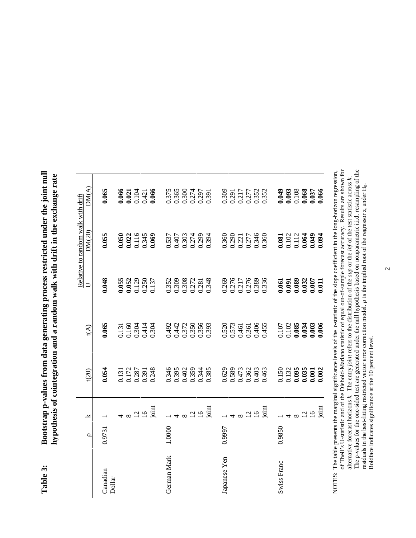| <br> <br> <br> <br>THE TAILY TANK THAT AND THE THE TAILY<br>$\frac{1}{2}$<br>inducation.<br>ł.<br>)<br>$\frac{1}{2}$<br>うくしく<br>Santan Transmitter<br>ì<br>$\sim$ m m $\frac{1}{2}$ m m m $\sim$<br>Ş | $\sim$ $\sim$ $+$ $\sim$<br>$4.3$ and $4.7$<br>ini.<br>)<br>9<br>ï<br>$5 - 1$<br>ew mopusa s pus u<br>lesis of coint |
|-------------------------------------------------------------------------------------------------------------------------------------------------------------------------------------------------------|----------------------------------------------------------------------------------------------------------------------|
|                                                                                                                                                                                                       |                                                                                                                      |

|                    | $\circ$ | ¥              | t(20)                                                                                                                 | t(A)                                                                                                                  | $\cup$                                                                            | Relative to random walk with drift<br>DM(20)                                      | DM(A)                                               |
|--------------------|---------|----------------|-----------------------------------------------------------------------------------------------------------------------|-----------------------------------------------------------------------------------------------------------------------|-----------------------------------------------------------------------------------|-----------------------------------------------------------------------------------|-----------------------------------------------------|
| Canadian<br>Dollar | 0.9731  |                | 0.054                                                                                                                 | 0.065                                                                                                                 | 0.048                                                                             | 0.055                                                                             | 0.065                                               |
|                    |         |                | 0.131<br>0.172<br>0.287<br>0.391<br>0.248                                                                             | 0.131<br>0.160<br>0.304<br>0.304<br>0.304                                                                             | $0.055$<br>$0.052$<br>$0.129$<br>$0.250$<br>$0.250$<br>$0.137$                    | $\begin{array}{c} 0.050 \\ 0.022 \\ 0.116 \\ 0.345 \\ 0.345 \\ 0.069 \end{array}$ | $0.066$<br>$0.021$<br>$0.104$<br>$0.421$<br>$0.066$ |
|                    |         |                |                                                                                                                       |                                                                                                                       |                                                                                   |                                                                                   |                                                     |
|                    |         | $\frac{2}{16}$ |                                                                                                                       |                                                                                                                       |                                                                                   |                                                                                   |                                                     |
|                    |         | joint          |                                                                                                                       |                                                                                                                       |                                                                                   |                                                                                   |                                                     |
| German Mark        | 1.0000  |                |                                                                                                                       |                                                                                                                       |                                                                                   |                                                                                   |                                                     |
|                    |         |                | 0.346<br>0.395<br>0.402                                                                                               | 0.492<br>0.442<br>0.350<br>0.350<br>0.393                                                                             | 0.352<br>0.309<br>0.308<br>0.272<br>0.281                                         | 0.537<br>0.407<br>0.303<br>0.299                                                  | 0.375<br>0.365<br>0.300<br>0.274<br>0.391           |
|                    |         |                |                                                                                                                       |                                                                                                                       |                                                                                   |                                                                                   |                                                     |
|                    |         | $\frac{2}{16}$ | 0.359<br>0.344<br>0.385                                                                                               |                                                                                                                       |                                                                                   |                                                                                   |                                                     |
|                    |         |                |                                                                                                                       |                                                                                                                       |                                                                                   |                                                                                   |                                                     |
|                    |         | joint          |                                                                                                                       |                                                                                                                       | 0.348                                                                             | 0.394                                                                             |                                                     |
| Japanese Yen       | 0.9997  |                |                                                                                                                       |                                                                                                                       |                                                                                   |                                                                                   | 0.309                                               |
|                    |         |                |                                                                                                                       |                                                                                                                       | 0.269<br>0.276<br>0.217<br>0.276<br>0.389                                         | 0.360<br>0.290<br>0.277<br>0.346<br>0.360                                         |                                                     |
|                    |         |                |                                                                                                                       |                                                                                                                       |                                                                                   |                                                                                   |                                                     |
|                    |         | $\frac{2}{16}$ |                                                                                                                       |                                                                                                                       |                                                                                   |                                                                                   |                                                     |
|                    |         |                |                                                                                                                       |                                                                                                                       |                                                                                   |                                                                                   |                                                     |
|                    |         | joint          | 0.629<br>0.589<br>0.473<br>0.362<br>0.463                                                                             | 0.520<br>0.573<br>0.461<br>0.465<br>0.455                                                                             | 0.336                                                                             |                                                                                   | 0.291<br>0.217<br>0.277<br>0.352<br>0.352           |
| Swiss Franc        | 0.9850  |                |                                                                                                                       |                                                                                                                       |                                                                                   |                                                                                   |                                                     |
|                    |         |                |                                                                                                                       |                                                                                                                       |                                                                                   |                                                                                   |                                                     |
|                    |         | $\infty$       | $\begin{array}{c} 0.150 \\ 0.132 \\ \mathbf{0.095} \\ \mathbf{0.035} \\ \mathbf{0.001} \\ \mathbf{0.001} \end{array}$ | $\begin{array}{c} 0.107 \\ 0.102 \\ \mathbf{0.085} \\ \mathbf{0.034} \\ \mathbf{0.003} \\ \mathbf{0.003} \end{array}$ | $\begin{array}{c} 0.061 \\ 0.091 \\ 0.089 \\ 0.032 \\ 0.007 \\ 0.007 \end{array}$ | 0.081<br>0.102<br>0.112<br>0.049<br>0.094                                         |                                                     |
|                    |         | $\frac{2}{16}$ |                                                                                                                       |                                                                                                                       |                                                                                   |                                                                                   |                                                     |
|                    |         |                |                                                                                                                       |                                                                                                                       |                                                                                   |                                                                                   |                                                     |
|                    |         | joint          |                                                                                                                       |                                                                                                                       |                                                                                   |                                                                                   |                                                     |

NOTES: The table presents the marginal significance levels of the *t*-statistic of the slope coefficient in the long-horizon regression, of Theil's U-statistic and of the Diebold-Mariano statistic of equal out-of-sample f The p-values for the one-sided test are generated under the null hypothesis based on nonparametric i.i.d. resampling of the residuals in the best-fitting restricted vector error correction model.  $\rho$  is the implied root of Theil's U-statistic and of the Diebold-Mariano statistic of equal out-of-sample forecast accuracy. Results are shown for The p-values for the one-sided test are generated under the null hypothesis based on nonparametric i.i.d. resampling of the NOTES: The table presents the marginal significance levels of the *t*-statistic of the slope coefficient in the long-horizon regression, alternative forecast horizons *k*. The entry *joint* refers to the distribution of the *sup* or the *inf* of the test statistic across *k*. residuals in the best-fitting restricted vector error correction model.  $\rho$  is the implied root of the regressor z<sub>t</sub> under  $H_0$ . Boldface indicates significance at the 10 percent level.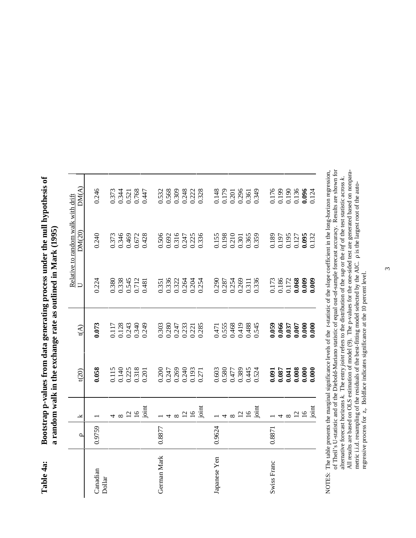|              | $\circ$ | ⊻               | t(20)                                               | t(A)                                                   |                                                                                                              | Relative to random walk with drift<br>DM(20) | DM(A)                                     |
|--------------|---------|-----------------|-----------------------------------------------------|--------------------------------------------------------|--------------------------------------------------------------------------------------------------------------|----------------------------------------------|-------------------------------------------|
| Canadian     | 0.9759  |                 | 0.058                                               | 0.073                                                  | 0.224                                                                                                        | 0.240                                        | 0.246                                     |
| Dollar       |         |                 |                                                     |                                                        |                                                                                                              |                                              |                                           |
|              |         |                 |                                                     |                                                        |                                                                                                              |                                              |                                           |
|              |         | $\frac{2}{16}$  | 0.115<br>0.140<br>0.225<br>0.318<br>0.201           | 0.117<br>0.128<br>0.243<br>0.340<br>0.349              | $\begin{array}{c} 0.380 \\ 0.338 \\ 0.545 \\ 0.712 \\ 0.481 \end{array}$                                     | 0.373<br>0.346<br>0.469<br>0.672<br>0.428    | 0.373<br>0.344<br>0.521<br>0.768<br>0.447 |
|              |         | joint           |                                                     |                                                        |                                                                                                              |                                              |                                           |
| German Mark  | 0.8877  |                 |                                                     |                                                        |                                                                                                              |                                              |                                           |
|              |         |                 | 0.200<br>0.247<br>0.269                             | 0.303<br>0.280<br>0.247                                | 0.351<br>0.336<br>0.322<br>0.264<br>0.254                                                                    | 0.506<br>0.692<br>0.316<br>0.247<br>0.336    | 0.532<br>0.568<br>0.309<br>0.222<br>0.328 |
|              |         |                 |                                                     |                                                        |                                                                                                              |                                              |                                           |
|              |         | $\overline{c}$  | 0.240<br>0.193<br>0.271                             | $\begin{array}{c} 0.233 \\ 0.221 \\ 0.285 \end{array}$ |                                                                                                              |                                              |                                           |
|              |         | $\overline{16}$ |                                                     |                                                        |                                                                                                              |                                              |                                           |
|              |         | joint           |                                                     |                                                        |                                                                                                              |                                              |                                           |
| Japanese Yen | 0.9624  |                 |                                                     |                                                        |                                                                                                              |                                              |                                           |
|              |         |                 | 0.603<br>0.580<br>0.477<br>0.389<br>0.524           | 0.471<br>0.555<br>0.468<br>0.488<br>0.545              | 0.290<br>0.287<br>0.254<br>0.311<br>0.336                                                                    | 0.155<br>0.198<br>0.210<br>0.365<br>0.365    | 0.148<br>0.179<br>0.201<br>0.349<br>0.349 |
|              |         |                 |                                                     |                                                        |                                                                                                              |                                              |                                           |
|              |         | $\frac{2}{16}$  |                                                     |                                                        |                                                                                                              |                                              |                                           |
|              |         |                 |                                                     |                                                        |                                                                                                              |                                              |                                           |
|              |         | joint           |                                                     |                                                        |                                                                                                              |                                              |                                           |
| Swiss Franc  | 0.8871  |                 |                                                     | 0.059                                                  |                                                                                                              |                                              |                                           |
|              |         |                 |                                                     |                                                        |                                                                                                              |                                              |                                           |
|              |         |                 | $0.091$<br>$0.087$<br>$0.000$<br>$0.000$<br>$0.000$ | $0.066$<br>$750.000$<br>$750.000$<br>$750.000$         | $\begin{array}{l} 0.173 \\ 0.186 \\ 0.172 \\ \mathbf{0.068} \\ \mathbf{0.009} \\ \mathbf{0.009} \end{array}$ | 0.189<br>0.197<br>0.195<br>0.095<br>0.095    | 176<br>0.199<br>0.136<br>0.096<br>0.096   |
|              |         | $\overline{c}$  |                                                     |                                                        |                                                                                                              |                                              |                                           |
|              |         | $\overline{16}$ |                                                     |                                                        |                                                                                                              |                                              |                                           |
|              |         | joint           |                                                     |                                                        |                                                                                                              |                                              |                                           |

NOTES: The table presents the marginal significance levels of the t-statistic of the slope coefficient in the long-horizon regression,<br>of Theil's U-statistic and of the Diebold-Mariano statistic of equal out-of-sample fore alternative forecast horizons k. The entry joint refers to the distribution of the *sup* or the *inf* of the test statistic across k.<br>All results are based on OLS estimation of model (9). The p-values for the one-sided te of Theil's U-statistic and of the Diebold-Mariano statistic of equal out-of-sample forecast accuracy. Results are shown for All results are based on OLS estimation of model (9). The p-values for the one-sided test are generated based on nonpara-NOTES: The table presents the marginal significance levels of the *t*-statistic of the slope coefficient in the long-horizon regression, alternative forecast horizons *k*. The entry *joint* refers to the distribution of the *sup* or the *inf* of the test statistic across *k*. metric i.i.d. resampling of the residuals of the best-fitting model selected by the AIC. D is the largest root of the autoregressive process for  $z<sub>t</sub>$ . Boldface indicates significance at the 10 percent level.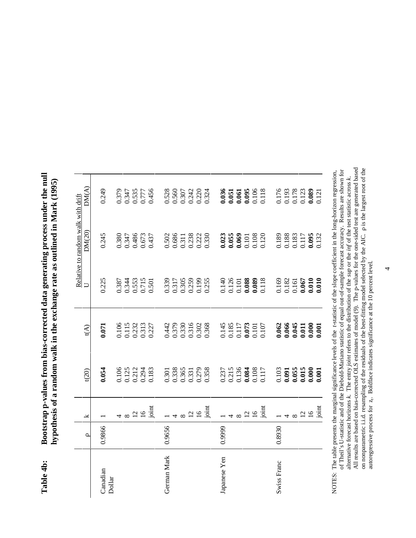|              |         |                 |                                                                                               |                                                                                      |                                                                                                                                | Relative to random walk with drift        |                                           |  |
|--------------|---------|-----------------|-----------------------------------------------------------------------------------------------|--------------------------------------------------------------------------------------|--------------------------------------------------------------------------------------------------------------------------------|-------------------------------------------|-------------------------------------------|--|
|              | $\circ$ | ¥               | t(20)                                                                                         | t(A)                                                                                 | $\Box$                                                                                                                         | DM(20)                                    | DM(A)                                     |  |
| Canadian     | 0.9866  |                 | 0.054                                                                                         | 0.071                                                                                | 0.225                                                                                                                          | 0.245                                     | 0.249                                     |  |
| Dollar       |         |                 |                                                                                               |                                                                                      |                                                                                                                                |                                           |                                           |  |
|              |         | $\infty$        | 0.106<br>0.125<br>0.212<br>0.294<br>0.183                                                     | 0.106<br>0.115<br>0.232<br>0.313<br>0.227                                            | 0.387<br>0.344<br>0.553<br>0.501<br>0.501                                                                                      | 0.380<br>0.347<br>0.486<br>0.673<br>0.437 | 0379<br>0.347<br>0.535<br>0.777<br>0.456  |  |
|              |         | $\overline{a}$  |                                                                                               |                                                                                      |                                                                                                                                |                                           |                                           |  |
|              |         | $\overline{16}$ |                                                                                               |                                                                                      |                                                                                                                                |                                           |                                           |  |
|              |         | joint           |                                                                                               |                                                                                      |                                                                                                                                |                                           |                                           |  |
| German Mark  | 0.9656  |                 |                                                                                               |                                                                                      |                                                                                                                                |                                           |                                           |  |
|              |         |                 | 0.301<br>0.338<br>0.365<br>0.351<br>0.358                                                     |                                                                                      |                                                                                                                                | 0.502<br>0.686<br>0.311<br>0.238<br>0.330 |                                           |  |
|              |         |                 |                                                                                               |                                                                                      |                                                                                                                                |                                           |                                           |  |
|              |         | Ŋ               |                                                                                               |                                                                                      |                                                                                                                                |                                           |                                           |  |
|              |         | $\overline{16}$ |                                                                                               |                                                                                      |                                                                                                                                |                                           |                                           |  |
|              |         | joint           |                                                                                               | 0.442<br>0.379<br>0.380<br>0.302<br>0.368                                            | 0.339<br>0.317<br>0.305<br>0.259<br>0.255                                                                                      |                                           | 0.528<br>0.560<br>0.307<br>0.220<br>0.324 |  |
| Japanese Yen | 0.9999  |                 |                                                                                               |                                                                                      |                                                                                                                                |                                           |                                           |  |
|              |         |                 |                                                                                               |                                                                                      |                                                                                                                                |                                           |                                           |  |
|              |         |                 | $\begin{array}{c} 0.237 \\ 0.215 \\ 0.136 \\ \mathbf{0.084} \\ 0.108 \\ 0.108 \\ \end{array}$ |                                                                                      |                                                                                                                                |                                           |                                           |  |
|              |         | $\overline{C}$  |                                                                                               |                                                                                      |                                                                                                                                |                                           |                                           |  |
|              |         | $\overline{16}$ |                                                                                               |                                                                                      |                                                                                                                                |                                           |                                           |  |
|              |         | joint           |                                                                                               | 145<br>0.185<br>0.117<br>0.017<br>0.101<br>0.107                                     | $\begin{array}{c} 0.140 \\ 0.126 \\ 0.101 \\ \textbf{0.088} \\ \textbf{0.089} \\ \textbf{0.010} \\ \textbf{0.010} \end{array}$ | 0.023<br>0.055<br>0.069<br>0.101<br>0.120 | 0.036<br>0.051<br>0.061<br>0.106<br>0.118 |  |
| Swiss Franc  | 0.8930  |                 |                                                                                               |                                                                                      |                                                                                                                                |                                           |                                           |  |
|              |         |                 |                                                                                               |                                                                                      |                                                                                                                                |                                           |                                           |  |
|              |         |                 |                                                                                               |                                                                                      |                                                                                                                                |                                           |                                           |  |
|              |         |                 | $\begin{array}{c} 0.103 \\ 0.091 \\ 0.055 \\ 0.015 \\ 0.000 \\ 0.000 \\ \end{array}$          |                                                                                      |                                                                                                                                | 0.189<br>0.188<br>0.117<br>0.095<br>0.095 | 0.176<br>0.193<br>0.178<br>0.089<br>0.089 |  |
|              |         | $\frac{2}{16}$  |                                                                                               |                                                                                      |                                                                                                                                |                                           |                                           |  |
|              |         | joint           |                                                                                               | $\begin{array}{c} 0.062 \\ 0.066 \\ 0.045 \\ 0.011 \\ 0.000 \\ 0.000 \\ \end{array}$ | $\begin{array}{c} 0.169 \\ 0.182 \\ 0.161 \\ 0.067 \\ \mathbf{0.010} \\ \mathbf{0.010} \\ \mathbf{0.010} \end{array}$          |                                           |                                           |  |

NOTES: The table presents the marginal significance levels of the *t*-statistic of the slope coefficient in the long-horizon regression, of Theil's U-statistic and of the Diebold-Mariano statistic of equal out-of-sample f All results are based on bias-corrected OLS estimates of model (9). The p-values for the one-sided test are generated based on nonparametric i.i.d. resampling of the residuals of the best-fitting model selected by the AIC. D is the largest root of the of Theil's U-statistic and of the Diebold-Mariano statistic of equal out-of-sample forecast accuracy. Results are shown for NOTES: The table presents the marginal significance levels of the *t*-statistic of the slope coefficient in the long-horizon regression, alternative forecast horizons *k*. The entry *joint* refers to the distribution of the *sup* or the *inf* of the test statistic across *k*. autoregressive process for  $z_t$ . Boldface indicates significance at the 10 percent level.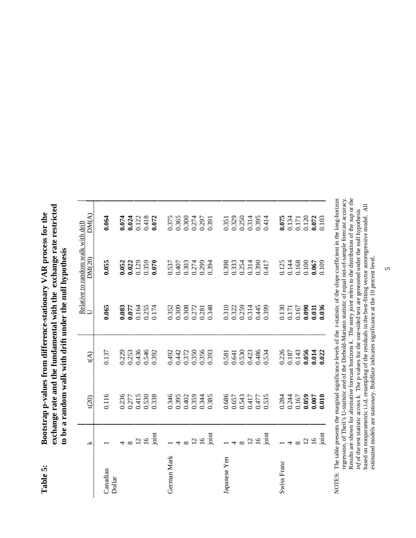exchange rate and the fundamental with the exchange rate restricted **exchange rate and the fundamental with the exchange rate restricted** Bootstrap p-values from difference-stationary VAR process for the **Table 5: Bootstrap p-values from difference-stationary VAR process for the** to be a random walk with drift under the null hypothesis **to be a random walk with drift under the null hypothesis** Table 5:

|              | Y               | t(20)                                               | t(A)                                                                                                                           | $\overline{\cup}$                                  | Relative to random walk with drift<br>DM(20)                | DM(A)                                                                                      |
|--------------|-----------------|-----------------------------------------------------|--------------------------------------------------------------------------------------------------------------------------------|----------------------------------------------------|-------------------------------------------------------------|--------------------------------------------------------------------------------------------|
| Canadian     |                 | 0.116                                               | 0.137                                                                                                                          | 0.065                                              | 0.055                                                       | 0.064                                                                                      |
| Dollar       |                 |                                                     |                                                                                                                                |                                                    |                                                             |                                                                                            |
|              |                 | 0.236<br>0.277<br>0.415<br>0.530<br>0.338           | 0.229<br>0.253<br>0.436<br>0.392                                                                                               | 0.083<br>0.077<br>0.164<br>0.174<br>0.174          | $0.052$<br>$0.022$<br>$0.129$<br>$0.359$<br>$0.359$         |                                                                                            |
|              | $\frac{10}{2}$  |                                                     |                                                                                                                                |                                                    |                                                             |                                                                                            |
|              |                 |                                                     |                                                                                                                                |                                                    |                                                             |                                                                                            |
|              |                 |                                                     |                                                                                                                                |                                                    |                                                             | $0.074$<br>0.024<br>0.122<br>0.418                                                         |
| German Mark  |                 |                                                     | 0.492<br>0.442<br>0.372<br>0.350<br>0.393                                                                                      |                                                    |                                                             | $\begin{array}{c} 0.375 \\ 0.365 \\ 0.300 \\ 0.274 \\ 0.297 \\ 0.391 \end{array}$          |
|              |                 | 0.346<br>0.395<br>0.402<br>0.359<br>0.385           |                                                                                                                                | 0.352<br>0.308<br>0.308<br>0.272<br>0.348          | 0.537<br>0.407<br>0.303<br>0.274<br>0.394                   |                                                                                            |
|              |                 |                                                     |                                                                                                                                |                                                    |                                                             |                                                                                            |
|              | $\frac{12}{16}$ |                                                     |                                                                                                                                |                                                    |                                                             |                                                                                            |
|              |                 |                                                     |                                                                                                                                |                                                    |                                                             |                                                                                            |
|              |                 |                                                     |                                                                                                                                |                                                    |                                                             |                                                                                            |
| Japanese Yen |                 |                                                     |                                                                                                                                |                                                    |                                                             |                                                                                            |
|              |                 |                                                     |                                                                                                                                | 0.310<br>0.322<br>0.314<br>0.314<br>0.399          | 0.398<br>0.333<br>0.254<br>0.314<br>0.417                   |                                                                                            |
|              | $4 \times 19$   |                                                     |                                                                                                                                |                                                    |                                                             |                                                                                            |
|              |                 |                                                     |                                                                                                                                |                                                    |                                                             |                                                                                            |
|              |                 |                                                     |                                                                                                                                |                                                    |                                                             |                                                                                            |
|              | joint           | 0.686<br>0.657<br>0.543<br>0.417<br>0.535           | 0.581<br>0.641<br>0.530<br>0.486<br>0.534                                                                                      |                                                    |                                                             | 0.351<br>0.329<br>0.250<br>0.395<br>0.414                                                  |
| Swiss Franc  |                 |                                                     | $\begin{array}{c} 0.226 \\ 0.187 \\ 0.143 \\ \mathbf{0.056} \\ \mathbf{0.014} \\ \mathbf{0.014} \\ \mathbf{0.022} \end{array}$ |                                                    |                                                             | $\begin{array}{c} 0.075 \\ 0.134 \\ 0.171 \\ 0.120 \\ 0.072 \\ 0.072 \\ 0.103 \end{array}$ |
|              |                 |                                                     |                                                                                                                                |                                                    |                                                             |                                                                                            |
|              |                 |                                                     |                                                                                                                                |                                                    |                                                             |                                                                                            |
|              | $\frac{2}{16}$  | $0.284$<br>$0.244$<br>$0.167$<br>$0.059$<br>$0.007$ |                                                                                                                                | 0.130<br>0.171<br>0.000<br>0.000<br>0.031<br>0.035 | 0.125<br>0.144<br>0.168<br>0.10 <b>67</b><br>0.10 <b>67</b> |                                                                                            |
|              |                 |                                                     |                                                                                                                                |                                                    |                                                             |                                                                                            |
|              | joint           |                                                     |                                                                                                                                |                                                    |                                                             |                                                                                            |

NOTES: The table presents the marginal significance levels of the *t*-statistic of the slope coefficient in the long-horizon<br>regression, of Theil's U-statistic and of the Diebold-Mariano statistic of equal out-of-sample fo Results are shown for alternative forecast horizons k. The entry joint refers to the distribution of the sup or the regression, of Theil's U-statistic and of the Diebold-Mariano statistic of equal out-of-sample forecast accuracy. NOTES: The table presents the marginal significance levels of the *t*-statistic of the slope coefficient in the long-horizon Results are shown for alternative forecast horizons *k*. The entry *joint* refers to the distribution of the *sup* or the inf of the test statistic across  $k$ . The p-values for the one-sided test are generated under the null hypothesis based on nonparametric i.i.d. resampling of the residuals in the best-fitting vector autoregressive model. based on nonparametric i.i.d. resampling of the residuals in the best-fitting vector autoregressive model. All *inf* of the test statistic across *k*. The p-values for the one-sided test are generated under the null hypothesis estimated models are stationary. Boldface indicates significance at the 10 percent level.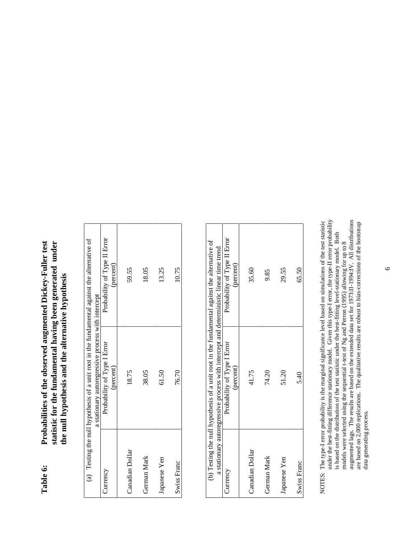# Probabilities of the observed augmented Dickey-Fuller test statistic for the fundamental having been generated under **Table 6: Probabilities of the observed augmented Dickey-Fuller test statistic for the fundamental having been generated under** the null hypothesis and the alternative hypothesis **the null hypothesis and the alternative hypothesis** Table 6:

|                                                                                              |                                                    | Probability of Type II Error | (percent) | 59.55           | 18.05       | 13.25        | 10.75       |
|----------------------------------------------------------------------------------------------|----------------------------------------------------|------------------------------|-----------|-----------------|-------------|--------------|-------------|
| (a) Testing the null hypothesis of a unit root in the fundamental against the alternative of | a stationary autoregressive process with intercept | Probability of Type I Error  | (percent) | 18.75           | 38.05       | 61.50        | 76.70       |
|                                                                                              |                                                    | Currency                     |           | Canadian Dollar | German Mark | Japanese Yen | Swiss Franc |

| (b) Testing the null hypothesis of a unit root in the fundamental against the alternative of<br>a stationary autoregressive process with intercept and deterministic linear time trend | Probability of Type II Error<br>percent)<br>Probability of Type I Error<br>(percent) | 35.60<br>41.75  | 9.85<br>74.20 | 29.55<br>51.20 | 65.50<br>5.40 |
|----------------------------------------------------------------------------------------------------------------------------------------------------------------------------------------|--------------------------------------------------------------------------------------|-----------------|---------------|----------------|---------------|
|                                                                                                                                                                                        | Currency                                                                             | Canadian Dollar | German Mark   | Japanese Yen   | Swiss Franc   |

augmented lags. The results are based on the extended data set for 1973:II-1994:IV. All distributions are based on 2,000 replications. The qualitative results are robust to bias-corrections of the bootstrap under the best-fitting difference stationary model. Given this type-I error, the type-II error probability NOTES: The type-I error probability is the marginal significance level based on simulations of the test statistic under the best-fitting difference stationary model. Given this type-I error, the type-II error probability augmented lags. The results are based on the extended data set for 1973:II-1994:IV. All distributions NOTES: The type-I error probability is the marginal significance level based on simulations of the test statistic are based on 2,000 replications. The qualitative results are robust to bias-corrections of the bootstrap is based on the distribution of the test statistic under the best-fitting level-stationary model. Both is based on the distribution of the test statistic under the best-fitting level-stationary model. Both models were selected using the sequential t-test of Ng and Perron (1995) allowing for up to 8 models were selected using the sequential t-test of Ng and Perron (1995) allowing for up to 8 data generating process. data generating process.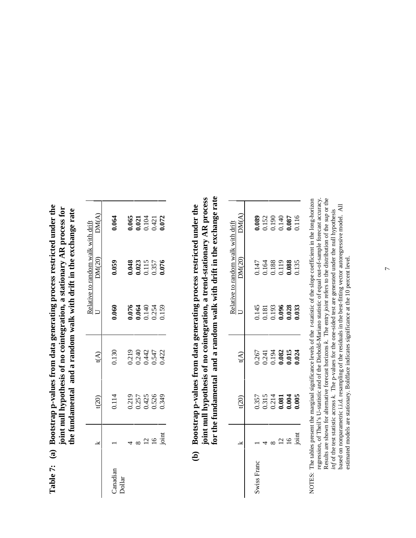| $-1$ und $-$<br>ung process restricted<br>(a) Bootstrap p-values from data generar | pothesis of no cointegration, a stationary AR proce<br>ioint mull hype | h drift in the exchange rate<br>fundamental and a random walk with |
|------------------------------------------------------------------------------------|------------------------------------------------------------------------|--------------------------------------------------------------------|
| Table 7: (                                                                         |                                                                        |                                                                    |
|                                                                                    |                                                                        |                                                                    |

| 0.064    |               |                |                                                                                                                                                                                                                              |
|----------|---------------|----------------|------------------------------------------------------------------------------------------------------------------------------------------------------------------------------------------------------------------------------|
| 0.059    |               |                |                                                                                                                                                                                                                              |
| 090.     |               |                |                                                                                                                                                                                                                              |
| 0.130    |               |                |                                                                                                                                                                                                                              |
| 0.114    |               |                |                                                                                                                                                                                                                              |
|          |               | $\overline{6}$ | $\frac{1}{2}$                                                                                                                                                                                                                |
| Janadian |               |                |                                                                                                                                                                                                                              |
|          | <b>Dollar</b> |                | 0.065<br>0.021<br>0.104<br>0.421<br>0.0 <b>72</b><br>0.048<br>0.023<br>0.115<br>0.357<br>0.076<br>0.076<br>0.064<br>0.140<br>0.159<br>0.159<br>0.219<br>0.240<br>0.442<br>0.422<br>0.219<br>0.257<br>0.425<br>0.526<br>0.349 |

for the fundamental and a random walk with drift in the exchange rate joint null hypothesis of no cointegration, a trend-stationary AR process **for the fundamental and a random walk with drift in the exchange rate joint null hypothesis of no cointegration, a trend-stationary AR process** (b) Bootstrap p-values from data generating process restricted under the  **(b) Bootstrap p-values from data generating process restricted under the**

|                                    |                           |            |  | <b>0.089</b><br>0.152<br>0.140<br>0.087<br>0.087 |                |
|------------------------------------|---------------------------|------------|--|--------------------------------------------------|----------------|
| telative to random walk with drift | DM(20)                    |            |  | 0.147<br>0.164<br>0.188<br>0.088<br>0.135        |                |
|                                    |                           |            |  | 145<br>0.181<br>0.096<br>0.028<br>0.033          |                |
|                                    | Ê                         |            |  | 0.267<br>0.241<br>0.082<br>0.015                 |                |
|                                    | $\widetilde{\mathrm{SO}}$ |            |  | 357<br>0.315<br>0.081<br>0.004                   |                |
|                                    |                           |            |  |                                                  | $\frac{16}{2}$ |
|                                    |                           | wiss Franc |  |                                                  |                |

NOTES: The tables present the marginal significance levels of the t-statistic of the slope coefficient in the long-horizon regression, of Theil's U-statistic and of the Diebold-Mariano statistic of equal out-of-sample forecast accuracy. Results are shown for alternative forecast horizons k. The entry joint refers to the distribution of the sup or the regression, of Theil's U-statistic and of the Diebold-Mariano statistic of equal out-of-sample forecast accuracy. NOTES: The tables present the marginal significance levels of the *t*-statistic of the slope coefficient in the long-horizon Results are shown for alternative forecast horizons *k*. The entry *joint* refers to the distribution of the *sup* or the based on nonparametric i.i.d. resampling of the residuals in the best-fitting vector autoregressive model. All<br>estimated models are stationary. Boldface indicates significance at the 10 percent level. based on nonparametric i.i.d. resampling of the residuals in the best-fitting vector autoregressive model. All inf of the test statistic across k. The p-values for the one-sided test are generated under the null hypothesis *inf* of the test statistic across *k*. The p-values for the one-sided test are generated under the null hypothesis estimated models are stationary. Boldface indicates significance at the 10 percent level.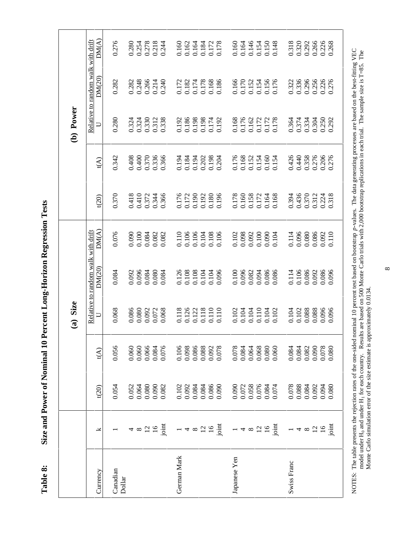Size and Power of Nominal 10 Percent Long-Horizon Regression Tests **Table 8: Size and Power of Nominal 10 Percent Long-Horizon Regression Tests** Table 8:

Relative to random walk with drift  $DM(A)$  $\widetilde{\mathcal{C}}$  (20)  $\widetilde{\mathcal{C}}$  to  $\widetilde{\mathcal{C}}$  to  $\widetilde{\mathcal{C}}$  the  $\widetilde{\mathcal{C}}$  of  $\widetilde{\mathcal{C}}$  of  $\widetilde{\mathcal{C}}$  of  $\widetilde{\mathcal{C}}$  of  $\widetilde{\mathcal{C}}$  of  $\widetilde{\mathcal{C}}$  of  $\widetilde{\mathcal{C}}$  of  $\widetilde{\mathcal{C}}$  of  $\widetilde{\mathcal{C}}$  of  $\widetilde{\mathcal{C$ 0.276 0.278<br>0.218 0.318 0.266 Relative to random walk with drift  $\Box$ 0.280 0.254 0.244 0.160<br>0.162<br>0.164 0.184<br>0.172<br>0.178 0.160 0.164<br>0.146<br>0.154  $0.150$ <br> $0.148$ 0.320 0.292 0.226<br>0.268 1 1 0.032 0.082 0.076 0.4750 0.0761 0.0761 0.0761 0.0761 0.0761 0.0761 0.08301 0.08301 0.0761 0.2761 0.2761 0. 0.072 0.072 0.072 0.092 0.092 0.092 0.092 0.092 0.092 0.092 0.092 0.092 0.092 0.092 0.092 0.092 0.09 8 0.064 0.060 0.080 0.096 0.100 0.410 0.400 0.324 0.248 0.254 12 12 0.080 0.066 0.072 0.092 0.092 0.092 0.092 0.092 0.092 0.0930 0.092 0.278 16 16 0.091 0.092 0.092 0.092 0.092 0.092 0.092 0.092 0.092 0.092 0.092 0.092 0.092 0.41<br>212 0.214 0.212 0.312 0.312 0.312 0.312 0.312 0.3256 0.3256 0.3256 0.0926 0.0926 0.0926 0.0926 0.0926 0.0926 0 joint 0.082 0.076 0.068 0.084 0.082 0.366 0.366 0.338 0.240 0.244 German Mark 1 94.10 1 0.100 0.110 0.110 0.110 0.100 0.100 0.100 0.100 0.100 0.100 0.100 0.100 0.100 0.172 0.172 4 0.022 0.092 0.092 0.092 0.092 0.092 0.092 0.092 0.092 0.092 0.092 0.092 0.102 8 10.084 0.084 0.085 0.084 0.085 0.085 0.085 0.085 0.085 0.085 0.1210 0.08610 0.1<br>#0.106 0.194 0.170 0.170 0.170 0.170 0.170 0.170 0.170 0.170 12 0.084 0.088 0.118 0.104 0.104 0.192 0.202 0.198 0.178 0.184 16 0.0892 0.092 0.0922 0.0922 0.0922 0.0922 0.110 0.110 0.110 0.110 0.172 0.0920 0.198 0.172 0.172 0.172 0.172 joint 0.090 0.078 0.110 0.096 0.106 0.196 0.204 0.192 0.186 0.178 Japanese Yen 1 0.090 0.078 0.102 0.100 0.102 0.178 0.176 0.168 0.166 0.160 4 10 0.0270 0.0970 0.0970 0.0970 0.09800 0.09800 0.170 0.176 0.170 0.170 0.176 0.176 0.176 0.176 0.1 8 0.058 0.064 0.104 0.082 0.092 0.158 0.152 0.162 0.152 0.146 12 0.076 0.076 0.076 0.076 0.072 0.110 0.110 0.172 0.1734 0.174 0.174 0.154 0.0910 0.0910 0.0910 0.0910 0.0900 0.0900 0.0910 0.0910 0.0910 0.0910 0.0910 0.16 joint 0.074 0.060 0.102 0.086 0.104 0.168 0.154 0.178 0.176 0.148 Swiss Franc 1 0.078 0.084 0.104 0.114 0.114 0.394 0.426 0.364 0.322 0.318 0.088 0.097 0.088 0.0975 0.0975 0.0976 0.0976 0.0076 0.0076 0.0976 0.48076 0.4861 8 0.0920 0.084 0.0820 0.0820 0.0820 0.0820 0.0820 0.0820 0.0820 0.0820 0.0820 0.0820 0.4820 0.0920 0.2920 0.09 12 0.092 0.092 0.092 0.092 0.092 0.092 0.092 0.092 0.092 0.092 0.092 0.092 0.092 0.092 0.092 0.092 0.092 0.092 16 16 0.226 0.0230 0.094 0.0236 0.092 0.078 0.0792 0.07926 0.07926 0.0226 0.0226 89210 9L210 2 9L210 8 0.110 96010 96010 08010 08010 14119. DM(20) 0.154<br>0.156<br>0.176 0.336 0.296 0.256<br>0.226<br>0.276 0.282 0.248 0.266 0.214  $0.240$ 0.182 0.174 0.178 0.168<br>0.186 0.166 0.170 0.152 0.322 0.282 0.172 (b) Power **(a) Size (b) Power**  $0.374$ 0.280 0.324 0.330 0.312 0.338 0.192<br>0.186<br>0.198 0.198 0.174 0.192 0.168 0.176<br>0.162<br>0.172 0.172 0.178 0.364 0.334 0.304 0.292 0.324  $\Box$ 0.276<br>0.206 0.342 0.408 0.400 0.370 0.336 0.366 3134<br>0.134<br>0.194 0.202<br>0.198<br>0.204 0.176<br>0.168<br>0.152<br>0.154<br>0.154 0.426<br>0.440 0.358 0.276  $t(A)$ 0.370 0.418 0.410 0.372 0.190 0.192 0.180<br>0.196 0.158<br>0.172  $0.164$ <br> $0.168$ 0.436 0.370 0.312 0.224 0.318  $t(20)$ 0.344 0.366 0.176<br>0.172  $\frac{0.178}{0.160}$ 0.394  $DM(A)$ Relative to random walk with drift 0.076  $0.100$ 0.084 0.082 0.110 0.106 0.106 0.104 0.108 0.098 0.092  $0.100$ 0.090 0.096 0.080 0.086<br>0.092 0.110 0.090 0.082 0.106 0.102 0.104 0.114 DM(20) 0.084 0.084 0.080 0.126 0.108  $0.104$ 0.104 0.096 0.082<br>0.094 0.086 0.086 0.114 0.106 0.086 0.092 0.086 0.092 0.096 0.084  $0.100$ (a) Size 0.068 0.118<br>0.126<br>0.122<br>0.118<br>0.110 0.102<br>0.104<br>0.104<br>0.104<br>0.104  $\begin{array}{c} 0.104 \\ 0.102 \\ 0.088 \end{array}$ 0.088 0.086 0.080 0.092 0.072 0.068 0.096  $\cup$ 0.066<br>0.084 0.106<br>0.098 0.086 0.088 0.092<br>0.078 0.064 0.068<br>0.080 0.082  $\begin{array}{c} 0.090 \\ 0.078 \\ 0.038 \end{array}$ 0.056 0.060 0.060 0.076 0.078 0.084 0.060  $0.084$ <br> $0.084$  $t(A)$ 0.058 0.076 0.088  $0.054$ 0.052 0.064 0.080 0.090 0.082 0.102 0.092 0.084 0.084 0.086 0.090 0.072 0.084 0.074 0.078 0.084 0.092 0.094  $t(20)$ 0.080  $4 \times 25$ <br> $\frac{1}{2}$  $-4 \times 25 = 5$  $-4$   $\infty$   $\frac{1}{2}$   $\frac{1}{2}$   $\frac{1}{2}$  $-4$   $\infty$   $\frac{1}{2}$   $\infty$   $\frac{1}{2}$ λ German Mark Japanese Yen Swiss Franc Canadian Currency Canadian Dollar

NOTES: The table presents the rejection rates of the one-sided nominal 10 percent test based on bootstrap p-values. The data generating processes are based on the best-fitting VEC NOTES: The table presents the rejection rates of the one-sided nominal 10 percent test based on bootstrap *p*-values. The data generating processes are based on the best-fitting VEC model under H<sub>0</sub> and under H<sub>1</sub> for each country. Results are based on 500 Monte Carlo trials with 2,000 bootstrap replications in each trial. The sample size is T=85. The model under H<sub>0</sub> and under H<sub>1</sub> for each country. Results are based on 500 Monte Carlo trials with 2,000 bootstrap replications in each trial. The sample size is T=85. The Monte Carlo simulation error of the size estimate is approximately 0.0134. Monte Carlo simulation error of the size estimate is approximately 0.0134.

 $^{\circ}$